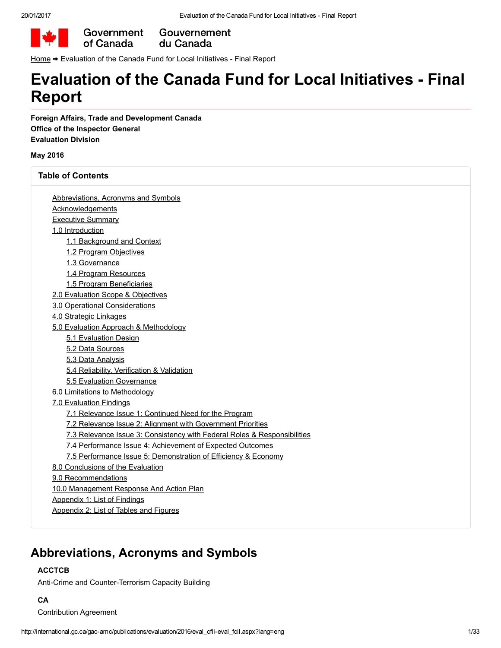

Government Gouvernement du Canada

[Home](http://www.canada.ca/en/index.html) → Evaluation of the Canada Fund for Local Initiatives - Final Report

# Evaluation of the Canada Fund for Local Initiatives Final Report

Foreign Affairs, Trade and Development Canada Office of the Inspector General Evaluation Division

#### May 2016

Table of Contents

| Abbreviations, Acronyms and Symbols                                      |
|--------------------------------------------------------------------------|
| <b>Acknowledgements</b>                                                  |
| <b>Executive Summary</b>                                                 |
| 1.0 Introduction                                                         |
| 1.1 Background and Context                                               |
| 1.2 Program Objectives                                                   |
| 1.3 Governance                                                           |
| 1.4 Program Resources                                                    |
| 1.5 Program Beneficiaries                                                |
| 2.0 Evaluation Scope & Objectives                                        |
| 3.0 Operational Considerations                                           |
| 4.0 Strategic Linkages                                                   |
| 5.0 Evaluation Approach & Methodology                                    |
| 5.1 Evaluation Design                                                    |
| 5.2 Data Sources                                                         |
| 5.3 Data Analysis                                                        |
| 5.4 Reliability, Verification & Validation                               |
| 5.5 Evaluation Governance                                                |
| 6.0 Limitations to Methodology                                           |
| 7.0 Evaluation Findings                                                  |
| 7.1 Relevance Issue 1: Continued Need for the Program                    |
| 7.2 Relevance Issue 2: Alignment with Government Priorities              |
| 7.3 Relevance Issue 3: Consistency with Federal Roles & Responsibilities |
| 7.4 Performance Issue 4: Achievement of Expected Outcomes                |
| 7.5 Performance Issue 5: Demonstration of Efficiency & Economy           |
| 8.0 Conclusions of the Evaluation                                        |
| 9.0 Recommendations                                                      |
| 10.0 Management Response And Action Plan                                 |
| Appendix 1: List of Findings                                             |

# <span id="page-0-0"></span>Abbreviations, Acronyms and Symbols

### ACCTCB

Anti-Crime and Counter-Terrorism Capacity Building

### **CA**

Contribution Agreement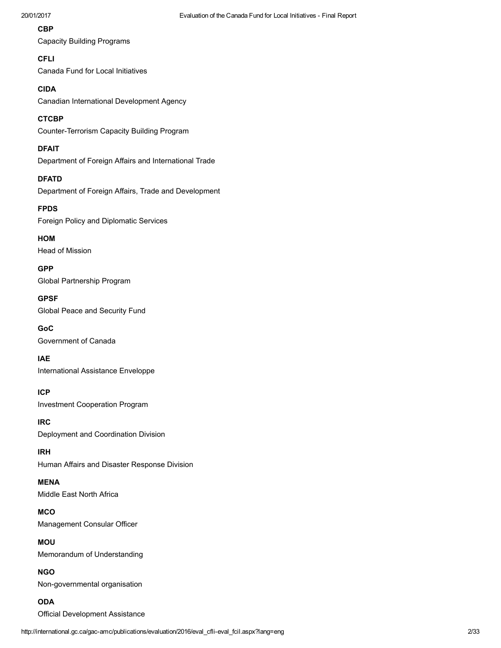## **CBP**

Capacity Building Programs

## **CFLI**

Canada Fund for Local Initiatives

## CIDA

Canadian International Development Agency

## **CTCBP**

Counter-Terrorism Capacity Building Program

## DFAIT

Department of Foreign Affairs and International Trade

## DFATD

Department of Foreign Affairs, Trade and Development

# FPDS

Foreign Policy and Diplomatic Services

HOM Head of Mission

GPP Global Partnership Program

## GPSF Global Peace and Security Fund

GoC Government of Canada

# IAE

International Assistance Enveloppe

# ICP

Investment Cooperation Program

### IRC Deployment and Coordination Division

IRH Human Affairs and Disaster Response Division

## MENA Middle East North Africa

**MCO** Management Consular Officer

MOU Memorandum of Understanding

NGO Non-governmental organisation

# ODA

Official Development Assistance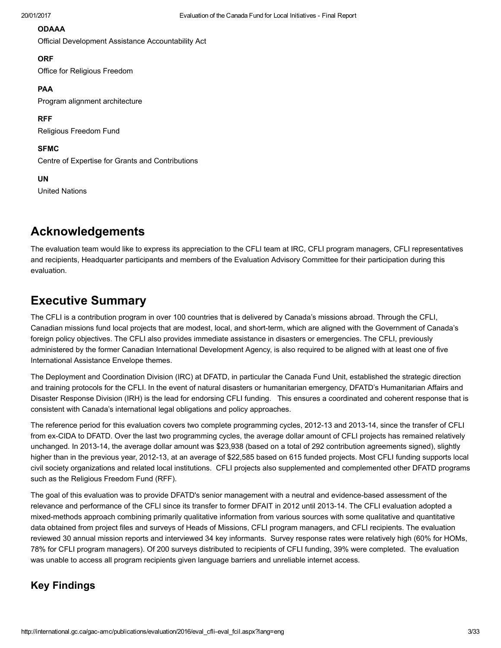#### ODAAA

Official Development Assistance Accountability Act

#### **ORF**

Office for Religious Freedom

#### PAA

Program alignment architecture

RFF Religious Freedom Fund

# SFMC

Centre of Expertise for Grants and Contributions

#### UN

United Nations

# <span id="page-2-0"></span>Acknowledgements

The evaluation team would like to express its appreciation to the CFLI team at IRC, CFLI program managers, CFLI representatives and recipients, Headquarter participants and members of the Evaluation Advisory Committee for their participation during this evaluation.

# <span id="page-2-1"></span>Executive Summary

The CFLI is a contribution program in over 100 countries that is delivered by Canada's missions abroad. Through the CFLI, Canadian missions fund local projects that are modest, local, and short-term, which are aligned with the Government of Canada's foreign policy objectives. The CFLI also provides immediate assistance in disasters or emergencies. The CFLI, previously administered by the former Canadian International Development Agency, is also required to be aligned with at least one of five International Assistance Envelope themes.

The Deployment and Coordination Division (IRC) at DFATD, in particular the Canada Fund Unit, established the strategic direction and training protocols for the CFLI. In the event of natural disasters or humanitarian emergency, DFATD's Humanitarian Affairs and Disaster Response Division (IRH) is the lead for endorsing CFLI funding. This ensures a coordinated and coherent response that is consistent with Canada's international legal obligations and policy approaches.

The reference period for this evaluation covers two complete programming cycles, 2012-13 and 2013-14, since the transfer of CFLI from ex-CIDA to DFATD. Over the last two programming cycles, the average dollar amount of CFLI projects has remained relatively unchanged. In 2013-14, the average dollar amount was \$23,938 (based on a total of 292 contribution agreements signed), slightly higher than in the previous year, 2012-13, at an average of \$22,585 based on 615 funded projects. Most CFLI funding supports local civil society organizations and related local institutions. CFLI projects also supplemented and complemented other DFATD programs such as the Religious Freedom Fund (RFF).

The goal of this evaluation was to provide DFATD's senior management with a neutral and evidence-based assessment of the relevance and performance of the CFLI since its transfer to former DFAIT in 2012 until 2013-14. The CFLI evaluation adopted a mixed-methods approach combining primarily qualitative information from various sources with some qualitative and quantitative data obtained from project files and surveys of Heads of Missions, CFLI program managers, and CFLI recipients. The evaluation reviewed 30 annual mission reports and interviewed 34 key informants. Survey response rates were relatively high (60% for HOMs, 78% for CFLI program managers). Of 200 surveys distributed to recipients of CFLI funding, 39% were completed. The evaluation was unable to access all program recipients given language barriers and unreliable internet access.

# Key Findings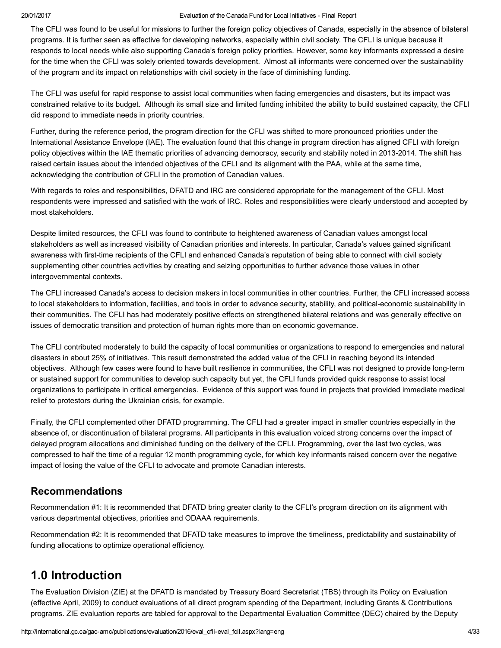The CFLI was found to be useful for missions to further the foreign policy objectives of Canada, especially in the absence of bilateral programs. It is further seen as effective for developing networks, especially within civil society. The CFLI is unique because it responds to local needs while also supporting Canada's foreign policy priorities. However, some key informants expressed a desire for the time when the CFLI was solely oriented towards development. Almost all informants were concerned over the sustainability of the program and its impact on relationships with civil society in the face of diminishing funding.

The CFLI was useful for rapid response to assist local communities when facing emergencies and disasters, but its impact was constrained relative to its budget. Although its small size and limited funding inhibited the ability to build sustained capacity, the CFLI did respond to immediate needs in priority countries.

Further, during the reference period, the program direction for the CFLI was shifted to more pronounced priorities under the International Assistance Envelope (IAE). The evaluation found that this change in program direction has aligned CFLI with foreign policy objectives within the IAE thematic priorities of advancing democracy, security and stability noted in 2013-2014. The shift has raised certain issues about the intended objectives of the CFLI and its alignment with the PAA, while at the same time, acknowledging the contribution of CFLI in the promotion of Canadian values.

With regards to roles and responsibilities, DFATD and IRC are considered appropriate for the management of the CFLI. Most respondents were impressed and satisfied with the work of IRC. Roles and responsibilities were clearly understood and accepted by most stakeholders.

Despite limited resources, the CFLI was found to contribute to heightened awareness of Canadian values amongst local stakeholders as well as increased visibility of Canadian priorities and interests. In particular, Canada's values gained significant awareness with first-time recipients of the CFLI and enhanced Canada's reputation of being able to connect with civil society supplementing other countries activities by creating and seizing opportunities to further advance those values in other intergovernmental contexts.

The CFLI increased Canada's access to decision makers in local communities in other countries. Further, the CFLI increased access to local stakeholders to information, facilities, and tools in order to advance security, stability, and politicaleconomic sustainability in their communities. The CFLI has had moderately positive effects on strengthened bilateral relations and was generally effective on issues of democratic transition and protection of human rights more than on economic governance.

The CFLI contributed moderately to build the capacity of local communities or organizations to respond to emergencies and natural disasters in about 25% of initiatives. This result demonstrated the added value of the CFLI in reaching beyond its intended objectives. Although few cases were found to have built resilience in communities, the CFLI was not designed to provide long-term or sustained support for communities to develop such capacity but yet, the CFLI funds provided quick response to assist local organizations to participate in critical emergencies. Evidence of this support was found in projects that provided immediate medical relief to protestors during the Ukrainian crisis, for example.

Finally, the CFLI complemented other DFATD programming. The CFLI had a greater impact in smaller countries especially in the absence of, or discontinuation of bilateral programs. All participants in this evaluation voiced strong concerns over the impact of delayed program allocations and diminished funding on the delivery of the CFLI. Programming, over the last two cycles, was compressed to half the time of a regular 12 month programming cycle, for which key informants raised concern over the negative impact of losing the value of the CFLI to advocate and promote Canadian interests.

## Recommendations

Recommendation #1: It is recommended that DFATD bring greater clarity to the CFLI's program direction on its alignment with various departmental objectives, priorities and ODAAA requirements.

Recommendation #2: It is recommended that DFATD take measures to improve the timeliness, predictability and sustainability of funding allocations to optimize operational efficiency.

# <span id="page-3-0"></span>1.0 Introduction

The Evaluation Division (ZIE) at the DFATD is mandated by Treasury Board Secretariat (TBS) through its Policy on Evaluation (effective April, 2009) to conduct evaluations of all direct program spending of the Department, including Grants & Contributions programs. ZIE evaluation reports are tabled for approval to the Departmental Evaluation Committee (DEC) chaired by the Deputy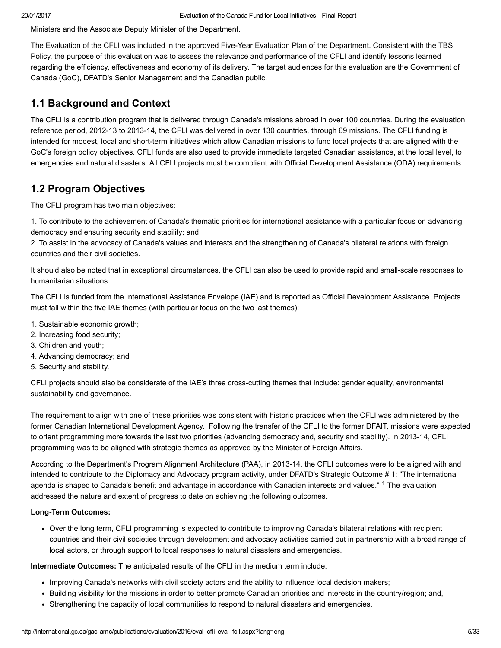Ministers and the Associate Deputy Minister of the Department.

The Evaluation of the CFLI was included in the approved Five-Year Evaluation Plan of the Department. Consistent with the TBS Policy, the purpose of this evaluation was to assess the relevance and performance of the CFLI and identify lessons learned regarding the efficiency, effectiveness and economy of its delivery. The target audiences for this evaluation are the Government of Canada (GoC), DFATD's Senior Management and the Canadian public.

## <span id="page-4-0"></span>1.1 Background and Context

The CFLI is a contribution program that is delivered through Canada's missions abroad in over 100 countries. During the evaluation reference period, 2012-13 to 2013-14, the CFLI was delivered in over 130 countries, through 69 missions. The CFLI funding is intended for modest, local and short-term initiatives which allow Canadian missions to fund local projects that are aligned with the GoC's foreign policy objectives. CFLI funds are also used to provide immediate targeted Canadian assistance, at the local level, to emergencies and natural disasters. All CFLI projects must be compliant with Official Development Assistance (ODA) requirements.

# <span id="page-4-1"></span>1.2 Program Objectives

The CFLI program has two main objectives:

1. To contribute to the achievement of Canada's thematic priorities for international assistance with a particular focus on advancing democracy and ensuring security and stability; and,

2. To assist in the advocacy of Canada's values and interests and the strengthening of Canada's bilateral relations with foreign countries and their civil societies.

It should also be noted that in exceptional circumstances, the CFLI can also be used to provide rapid and small-scale responses to humanitarian situations.

The CFLI is funded from the International Assistance Envelope (IAE) and is reported as Official Development Assistance. Projects must fall within the five IAE themes (with particular focus on the two last themes):

- 1. Sustainable economic growth;
- 2. Increasing food security;
- 3. Children and youth;
- 4. Advancing democracy; and
- 5. Security and stability.

CFLI projects should also be considerate of the IAE's three crosscutting themes that include: gender equality, environmental sustainability and governance.

The requirement to align with one of these priorities was consistent with historic practices when the CFLI was administered by the former Canadian International Development Agency. Following the transfer of the CFLI to the former DFAIT, missions were expected to orient programming more towards the last two priorities (advancing democracy and, security and stability). In 2013-14, CFLI programming was to be aligned with strategic themes as approved by the Minister of Foreign Affairs.

According to the Department's Program Alignment Architecture (PAA), in 2013-14, the CFLI outcomes were to be aligned with and intended to contribute to the Diplomacy and Advocacy program activity, under DFATD's Strategic Outcome # 1: "The international agenda is shaped to Canada's benefit and advantage in accordance with Canadian interests and values." <sup>[1](#page-31-1)</sup> The evaluation addressed the nature and extent of progress to date on achieving the following outcomes.

#### Long-Term Outcomes:

<span id="page-4-2"></span>Over the long term, CFLI programming is expected to contribute to improving Canada's bilateral relations with recipient countries and their civil societies through development and advocacy activities carried out in partnership with a broad range of local actors, or through support to local responses to natural disasters and emergencies.

Intermediate Outcomes: The anticipated results of the CFLI in the medium term include:

- Improving Canada's networks with civil society actors and the ability to influence local decision makers;
- Building visibility for the missions in order to better promote Canadian priorities and interests in the country/region; and,
- Strengthening the capacity of local communities to respond to natural disasters and emergencies.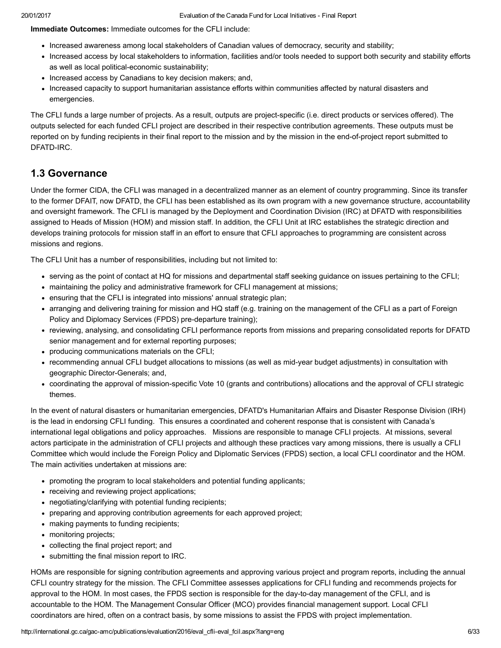Immediate Outcomes: Immediate outcomes for the CFLI include:

- Increased awareness among local stakeholders of Canadian values of democracy, security and stability;
- Increased access by local stakeholders to information, facilities and/or tools needed to support both security and stability efforts as well as local political-economic sustainability;
- Increased access by Canadians to key decision makers; and,
- Increased capacity to support humanitarian assistance efforts within communities affected by natural disasters and emergencies.

The CFLI funds a large number of projects. As a result, outputs are project-specific (i.e. direct products or services offered). The outputs selected for each funded CFLI project are described in their respective contribution agreements. These outputs must be reported on by funding recipients in their final report to the mission and by the mission in the end-of-project report submitted to DFATD-IRC.

## <span id="page-5-0"></span>1.3 Governance

Under the former CIDA, the CFLI was managed in a decentralized manner as an element of country programming. Since its transfer to the former DFAIT, now DFATD, the CFLI has been established as its own program with a new governance structure, accountability and oversight framework. The CFLI is managed by the Deployment and Coordination Division (IRC) at DFATD with responsibilities assigned to Heads of Mission (HOM) and mission staff. In addition, the CFLI Unit at IRC establishes the strategic direction and develops training protocols for mission staff in an effort to ensure that CFLI approaches to programming are consistent across missions and regions.

The CFLI Unit has a number of responsibilities, including but not limited to:

- serving as the point of contact at HQ for missions and departmental staff seeking guidance on issues pertaining to the CFLI;
- maintaining the policy and administrative framework for CFLI management at missions;
- ensuring that the CFLI is integrated into missions' annual strategic plan;
- arranging and delivering training for mission and HQ staff (e.g. training on the management of the CFLI as a part of Foreign Policy and Diplomacy Services (FPDS) pre-departure training);
- reviewing, analysing, and consolidating CFLI performance reports from missions and preparing consolidated reports for DFATD senior management and for external reporting purposes;
- producing communications materials on the CFLI;
- recommending annual CFLI budget allocations to missions (as well as midyear budget adjustments) in consultation with geographic Director-Generals; and,
- coordinating the approval of mission-specific Vote 10 (grants and contributions) allocations and the approval of CFLI strategic themes.

In the event of natural disasters or humanitarian emergencies, DFATD's Humanitarian Affairs and Disaster Response Division (IRH) is the lead in endorsing CFLI funding. This ensures a coordinated and coherent response that is consistent with Canada's international legal obligations and policy approaches. Missions are responsible to manage CFLI projects. At missions, several actors participate in the administration of CFLI projects and although these practices vary among missions, there is usually a CFLI Committee which would include the Foreign Policy and Diplomatic Services (FPDS) section, a local CFLI coordinator and the HOM. The main activities undertaken at missions are:

- promoting the program to local stakeholders and potential funding applicants;
- receiving and reviewing project applications;
- negotiating/clarifying with potential funding recipients;
- preparing and approving contribution agreements for each approved project;
- making payments to funding recipients;
- monitoring projects;
- collecting the final project report; and
- submitting the final mission report to IRC.

HOMs are responsible for signing contribution agreements and approving various project and program reports, including the annual CFLI country strategy for the mission. The CFLI Committee assesses applications for CFLI funding and recommends projects for approval to the HOM. In most cases, the FPDS section is responsible for the day-to-day management of the CFLI, and is accountable to the HOM. The Management Consular Officer (MCO) provides financial management support. Local CFLI coordinators are hired, often on a contract basis, by some missions to assist the FPDS with project implementation.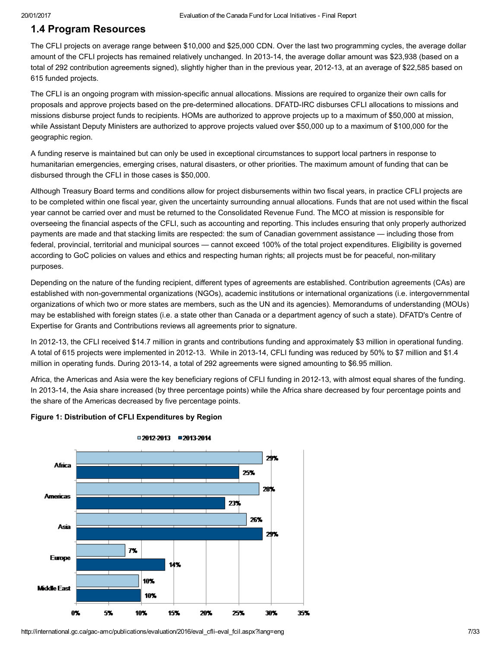## <span id="page-6-0"></span>1.4 Program Resources

The CFLI projects on average range between \$10,000 and \$25,000 CDN. Over the last two programming cycles, the average dollar amount of the CFLI projects has remained relatively unchanged. In 2013-14, the average dollar amount was \$23,938 (based on a total of 292 contribution agreements signed), slightly higher than in the previous year, 2012-13, at an average of \$22,585 based on 615 funded projects.

The CFLI is an ongoing program with mission-specific annual allocations. Missions are required to organize their own calls for proposals and approve projects based on the pre-determined allocations. DFATD-IRC disburses CFLI allocations to missions and missions disburse project funds to recipients. HOMs are authorized to approve projects up to a maximum of \$50,000 at mission, while Assistant Deputy Ministers are authorized to approve projects valued over \$50,000 up to a maximum of \$100,000 for the geographic region.

A funding reserve is maintained but can only be used in exceptional circumstances to support local partners in response to humanitarian emergencies, emerging crises, natural disasters, or other priorities. The maximum amount of funding that can be disbursed through the CFLI in those cases is \$50,000.

Although Treasury Board terms and conditions allow for project disbursements within two fiscal years, in practice CFLI projects are to be completed within one fiscal year, given the uncertainty surrounding annual allocations. Funds that are not used within the fiscal year cannot be carried over and must be returned to the Consolidated Revenue Fund. The MCO at mission is responsible for overseeing the financial aspects of the CFLI, such as accounting and reporting. This includes ensuring that only properly authorized payments are made and that stacking limits are respected: the sum of Canadian government assistance — including those from federal, provincial, territorial and municipal sources — cannot exceed 100% of the total project expenditures. Eligibility is governed according to GoC policies on values and ethics and respecting human rights; all projects must be for peaceful, non-military purposes.

Depending on the nature of the funding recipient, different types of agreements are established. Contribution agreements (CAs) are established with non-governmental organizations (NGOs), academic institutions or international organizations (i.e. intergovernmental organizations of which two or more states are members, such as the UN and its agencies). Memorandums of understanding (MOUs) may be established with foreign states (i.e. a state other than Canada or a department agency of such a state). DFATD's Centre of Expertise for Grants and Contributions reviews all agreements prior to signature.

In 2012-13, the CFLI received \$14.7 million in grants and contributions funding and approximately \$3 million in operational funding. A total of 615 projects were implemented in 2012-13. While in 2013-14, CFLI funding was reduced by 50% to \$7 million and \$1.4 million in operating funds. During 2013-14, a total of 292 agreements were signed amounting to \$6.95 million.

Africa, the Americas and Asia were the key beneficiary regions of CFLI funding in 2012-13, with almost equal shares of the funding. In 2013-14, the Asia share increased (by three percentage points) while the Africa share decreased by four percentage points and the share of the Americas decreased by five percentage points.



#### Figure 1: Distribution of CFLI Expenditures by Region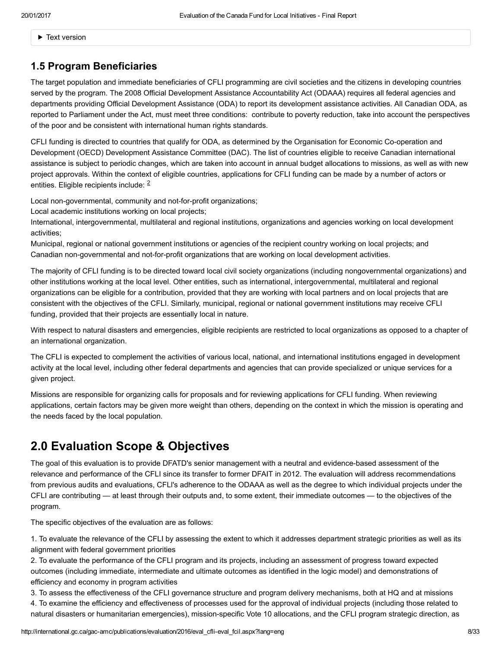Text version

# <span id="page-7-0"></span>1.5 Program Beneficiaries

The target population and immediate beneficiaries of CFLI programming are civil societies and the citizens in developing countries served by the program. The 2008 Official Development Assistance Accountability Act (ODAAA) requires all federal agencies and departments providing Official Development Assistance (ODA) to report its development assistance activities. All Canadian ODA, as reported to Parliament under the Act, must meet three conditions: contribute to poverty reduction, take into account the perspectives of the poor and be consistent with international human rights standards.

CFLI funding is directed to countries that qualify for ODA, as determined by the Organisation for Economic Co-operation and Development (OECD) Development Assistance Committee (DAC). The list of countries eligible to receive Canadian international assistance is subject to periodic changes, which are taken into account in annual budget allocations to missions, as well as with new project approvals. Within the context of eligible countries, applications for CFLI funding can be made by a number of actors or entities. Eligible recipients include: <sup>[2](#page-31-2)</sup>

<span id="page-7-2"></span>Local non-governmental, community and not-for-profit organizations;

Local academic institutions working on local projects;

International, intergovernmental, multilateral and regional institutions, organizations and agencies working on local development activities;

Municipal, regional or national government institutions or agencies of the recipient country working on local projects; and Canadian non-governmental and not-for-profit organizations that are working on local development activities.

The majority of CFLI funding is to be directed toward local civil society organizations (including nongovernmental organizations) and other institutions working at the local level. Other entities, such as international, intergovernmental, multilateral and regional organizations can be eligible for a contribution, provided that they are working with local partners and on local projects that are consistent with the objectives of the CFLI. Similarly, municipal, regional or national government institutions may receive CFLI funding, provided that their projects are essentially local in nature.

With respect to natural disasters and emergencies, eligible recipients are restricted to local organizations as opposed to a chapter of an international organization.

The CFLI is expected to complement the activities of various local, national, and international institutions engaged in development activity at the local level, including other federal departments and agencies that can provide specialized or unique services for a given project.

Missions are responsible for organizing calls for proposals and for reviewing applications for CFLI funding. When reviewing applications, certain factors may be given more weight than others, depending on the context in which the mission is operating and the needs faced by the local population.

# <span id="page-7-1"></span>2.0 Evaluation Scope & Objectives

The goal of this evaluation is to provide DFATD's senior management with a neutral and evidence-based assessment of the relevance and performance of the CFLI since its transfer to former DFAIT in 2012. The evaluation will address recommendations from previous audits and evaluations, CFLl's adherence to the ODAAA as well as the degree to which individual projects under the CFLI are contributing — at least through their outputs and, to some extent, their immediate outcomes — to the objectives of the program.

The specific objectives of the evaluation are as follows:

1. To evaluate the relevance of the CFLI by assessing the extent to which it addresses department strategic priorities as well as its alignment with federal government priorities

2. To evaluate the performance of the CFLI program and its projects, including an assessment of progress toward expected outcomes (including immediate, intermediate and ultimate outcomes as identified in the logic model) and demonstrations of efficiency and economy in program activities

3. To assess the effectiveness of the CFLI governance structure and program delivery mechanisms, both at HQ and at missions

4. To examine the efficiency and effectiveness of processes used for the approval of individual projects (including those related to natural disasters or humanitarian emergencies), mission-specific Vote 10 allocations, and the CFLI program strategic direction, as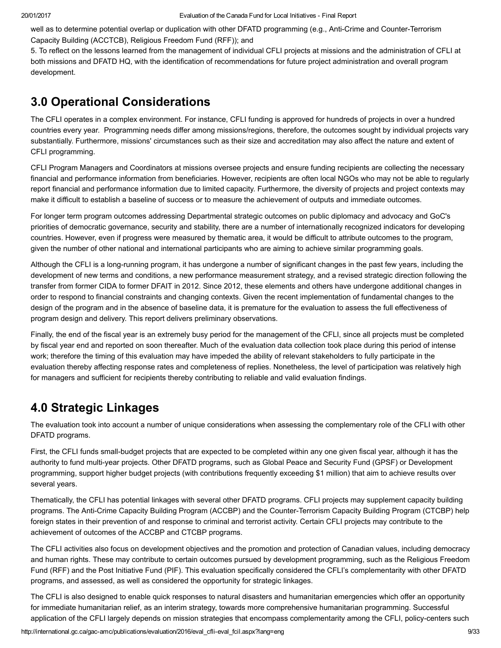well as to determine potential overlap or duplication with other DFATD programming (e.g., Anti-Crime and Counter-Terrorism Capacity Building (ACCTCB), Religious Freedom Fund (RFF)); and

5. To reflect on the lessons learned from the management of individual CFLI projects at missions and the administration of CFLI at both missions and DFATD HQ, with the identification of recommendations for future project administration and overall program development.

# <span id="page-8-0"></span>3.0 Operational Considerations

The CFLI operates in a complex environment. For instance, CFLI funding is approved for hundreds of projects in over a hundred countries every year. Programming needs differ among missions/regions, therefore, the outcomes sought by individual projects vary substantially. Furthermore, missions' circumstances such as their size and accreditation may also affect the nature and extent of CFLI programming.

CFLI Program Managers and Coordinators at missions oversee projects and ensure funding recipients are collecting the necessary financial and performance information from beneficiaries. However, recipients are often local NGOs who may not be able to regularly report financial and performance information due to limited capacity. Furthermore, the diversity of projects and project contexts may make it difficult to establish a baseline of success or to measure the achievement of outputs and immediate outcomes.

For longer term program outcomes addressing Departmental strategic outcomes on public diplomacy and advocacy and GoC's priorities of democratic governance, security and stability, there are a number of internationally recognized indicators for developing countries. However, even if progress were measured by thematic area, it would be difficult to attribute outcomes to the program, given the number of other national and international participants who are aiming to achieve similar programming goals.

Although the CFLI is a long-running program, it has undergone a number of significant changes in the past few years, including the development of new terms and conditions, a new performance measurement strategy, and a revised strategic direction following the transfer from former CIDA to former DFAIT in 2012. Since 2012, these elements and others have undergone additional changes in order to respond to financial constraints and changing contexts. Given the recent implementation of fundamental changes to the design of the program and in the absence of baseline data, it is premature for the evaluation to assess the full effectiveness of program design and delivery. This report delivers preliminary observations.

Finally, the end of the fiscal year is an extremely busy period for the management of the CFLI, since all projects must be completed by fiscal year end and reported on soon thereafter. Much of the evaluation data collection took place during this period of intense work; therefore the timing of this evaluation may have impeded the ability of relevant stakeholders to fully participate in the evaluation thereby affecting response rates and completeness of replies. Nonetheless, the level of participation was relatively high for managers and sufficient for recipients thereby contributing to reliable and valid evaluation findings.

# <span id="page-8-1"></span>4.0 Strategic Linkages

The evaluation took into account a number of unique considerations when assessing the complementary role of the CFLI with other DFATD programs.

First, the CFLI funds small-budget projects that are expected to be completed within any one given fiscal year, although it has the authority to fund multi-year projects. Other DFATD programs, such as Global Peace and Security Fund (GPSF) or Development programming, support higher budget projects (with contributions frequently exceeding \$1 million) that aim to achieve results over several years.

Thematically, the CFLI has potential linkages with several other DFATD programs. CFLI projects may supplement capacity building programs. The Anti-Crime Capacity Building Program (ACCBP) and the Counter-Terrorism Capacity Building Program (CTCBP) help foreign states in their prevention of and response to criminal and terrorist activity. Certain CFLI projects may contribute to the achievement of outcomes of the ACCBP and CTCBP programs.

The CFLI activities also focus on development objectives and the promotion and protection of Canadian values, including democracy and human rights. These may contribute to certain outcomes pursued by development programming, such as the Religious Freedom Fund (RFF) and the Post Initiative Fund (PIF). This evaluation specifically considered the CFLI's complementarity with other DFATD programs, and assessed, as well as considered the opportunity for strategic linkages.

The CFLI is also designed to enable quick responses to natural disasters and humanitarian emergencies which offer an opportunity for immediate humanitarian relief, as an interim strategy, towards more comprehensive humanitarian programming. Successful application of the CFLI largely depends on mission strategies that encompass complementarity among the CFLI, policy-centers such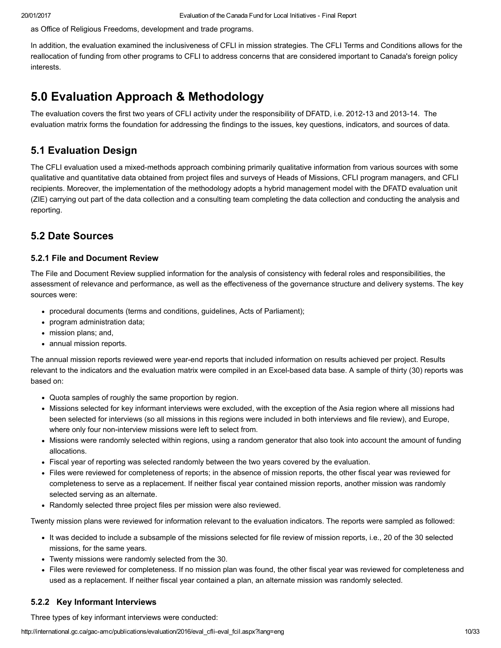as Office of Religious Freedoms, development and trade programs.

In addition, the evaluation examined the inclusiveness of CFLI in mission strategies. The CFLI Terms and Conditions allows for the reallocation of funding from other programs to CFLI to address concerns that are considered important to Canada's foreign policy interests.

# <span id="page-9-0"></span>5.0 Evaluation Approach & Methodology

The evaluation covers the first two years of CFLI activity under the responsibility of DFATD, i.e. 2012-13 and 2013-14. The evaluation matrix forms the foundation for addressing the findings to the issues, key questions, indicators, and sources of data.

# <span id="page-9-1"></span>5.1 Evaluation Design

The CFLI evaluation used a mixed-methods approach combining primarily qualitative information from various sources with some qualitative and quantitative data obtained from project files and surveys of Heads of Missions, CFLI program managers, and CFLI recipients. Moreover, the implementation of the methodology adopts a hybrid management model with the DFATD evaluation unit (ZIE) carrying out part of the data collection and a consulting team completing the data collection and conducting the analysis and reporting.

# <span id="page-9-2"></span>5.2 Date Sources

### 5.2.1 File and Document Review

The File and Document Review supplied information for the analysis of consistency with federal roles and responsibilities, the assessment of relevance and performance, as well as the effectiveness of the governance structure and delivery systems. The key sources were:

- procedural documents (terms and conditions, guidelines, Acts of Parliament);
- program administration data;
- mission plans; and,
- annual mission reports.

The annual mission reports reviewed were year-end reports that included information on results achieved per project. Results relevant to the indicators and the evaluation matrix were compiled in an Excel-based data base. A sample of thirty (30) reports was based on:

- Quota samples of roughly the same proportion by region.
- Missions selected for key informant interviews were excluded, with the exception of the Asia region where all missions had been selected for interviews (so all missions in this regions were included in both interviews and file review), and Europe, where only four non-interview missions were left to select from.
- Missions were randomly selected within regions, using a random generator that also took into account the amount of funding allocations.
- Fiscal year of reporting was selected randomly between the two years covered by the evaluation.
- Files were reviewed for completeness of reports; in the absence of mission reports, the other fiscal year was reviewed for completeness to serve as a replacement. If neither fiscal year contained mission reports, another mission was randomly selected serving as an alternate.
- Randomly selected three project files per mission were also reviewed.

Twenty mission plans were reviewed for information relevant to the evaluation indicators. The reports were sampled as followed:

- It was decided to include a subsample of the missions selected for file review of mission reports, i.e., 20 of the 30 selected missions, for the same years.
- Twenty missions were randomly selected from the 30.
- Files were reviewed for completeness. If no mission plan was found, the other fiscal year was reviewed for completeness and used as a replacement. If neither fiscal year contained a plan, an alternate mission was randomly selected.

## 5.2.2 Key Informant Interviews

Three types of key informant interviews were conducted: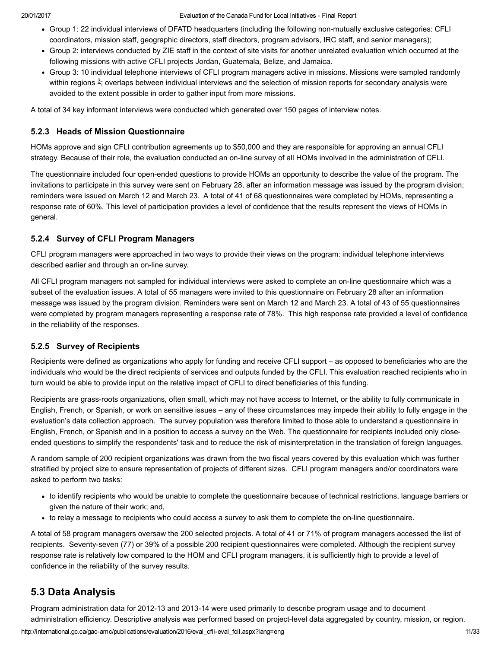- Group 1: 22 individual interviews of DFATD headquarters (including the following non-mutually exclusive categories: CFLI coordinators, mission staff, geographic directors, staff directors, program advisors, IRC staff, and senior managers);
- Group 2: interviews conducted by ZIE staff in the context of site visits for another unrelated evaluation which occurred at the following missions with active CFLI projects Jordan, Guatemala, Belize, and Jamaica.
- <span id="page-10-1"></span>Group 3: 10 individual telephone interviews of CFLI program managers active in missions. Missions were sampled randomly within regions  $^3$  $^3$ ; overlaps between individual interviews and the selection of mission reports for secondary analysis were avoided to the extent possible in order to gather input from more missions.

A total of 34 key informant interviews were conducted which generated over 150 pages of interview notes.

#### 5.2.3 Heads of Mission Questionnaire

HOMs approve and sign CFLI contribution agreements up to \$50,000 and they are responsible for approving an annual CFLI strategy. Because of their role, the evaluation conducted an on-line survey of all HOMs involved in the administration of CFLI.

The questionnaire included four open-ended questions to provide HOMs an opportunity to describe the value of the program. The invitations to participate in this survey were sent on February 28, after an information message was issued by the program division; reminders were issued on March 12 and March 23. A total of 41 of 68 questionnaires were completed by HOMs, representing a response rate of 60%. This level of participation provides a level of confidence that the results represent the views of HOMs in general.

### 5.2.4 Survey of CFLI Program Managers

CFLI program managers were approached in two ways to provide their views on the program: individual telephone interviews described earlier and through an on-line survey.

All CFLI program managers not sampled for individual interviews were asked to complete an on-line questionnaire which was a subset of the evaluation issues. A total of 55 managers were invited to this questionnaire on February 28 after an information message was issued by the program division. Reminders were sent on March 12 and March 23. A total of 43 of 55 questionnaires were completed by program managers representing a response rate of 78%. This high response rate provided a level of confidence in the reliability of the responses.

### 5.2.5 Survey of Recipients

Recipients were defined as organizations who apply for funding and receive CFLI support – as opposed to beneficiaries who are the individuals who would be the direct recipients of services and outputs funded by the CFLI. This evaluation reached recipients who in turn would be able to provide input on the relative impact of CFLI to direct beneficiaries of this funding.

Recipients are grass-roots organizations, often small, which may not have access to Internet, or the ability to fully communicate in English, French, or Spanish, or work on sensitive issues – any of these circumstances may impede their ability to fully engage in the evaluation's data collection approach. The survey population was therefore limited to those able to understand a questionnaire in English, French, or Spanish and in a position to access a survey on the Web. The questionnaire for recipients included only closeended questions to simplify the respondents' task and to reduce the risk of misinterpretation in the translation of foreign languages.

A random sample of 200 recipient organizations was drawn from the two fiscal years covered by this evaluation which was further stratified by project size to ensure representation of projects of different sizes. CFLI program managers and/or coordinators were asked to perform two tasks:

- to identify recipients who would be unable to complete the questionnaire because of technical restrictions, language barriers or given the nature of their work; and,
- to relay a message to recipients who could access a survey to ask them to complete the on-line questionnaire.

A total of 58 program managers oversaw the 200 selected projects. A total of 41 or 71% of program managers accessed the list of recipients. Seventy-seven (77) or 39% of a possible 200 recipient questionnaires were completed. Although the recipient survey response rate is relatively low compared to the HOM and CFLI program managers, it is sufficiently high to provide a level of confidence in the reliability of the survey results.

## <span id="page-10-0"></span>5.3 Data Analysis

http://international.gc.ca/gac-amc/publications/evaluation/2016/eval\_cfli-eval\_fcil.aspx?lang=eng 11/333 Program administration data for 2012-13 and 2013-14 were used primarily to describe program usage and to document administration efficiency. Descriptive analysis was performed based on project-level data aggregated by country, mission, or region.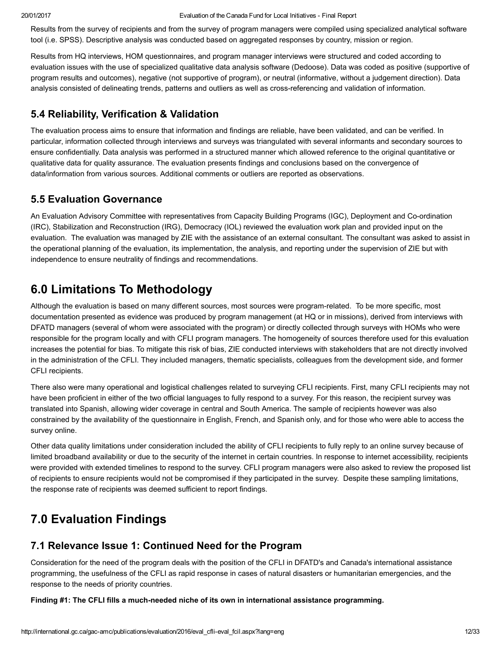Results from the survey of recipients and from the survey of program managers were compiled using specialized analytical software tool (i.e. SPSS). Descriptive analysis was conducted based on aggregated responses by country, mission or region.

Results from HQ interviews, HOM questionnaires, and program manager interviews were structured and coded according to evaluation issues with the use of specialized qualitative data analysis software (Dedoose). Data was coded as positive (supportive of program results and outcomes), negative (not supportive of program), or neutral (informative, without a judgement direction). Data analysis consisted of delineating trends, patterns and outliers as well as cross-referencing and validation of information.

# <span id="page-11-0"></span>5.4 Reliability, Verification & Validation

The evaluation process aims to ensure that information and findings are reliable, have been validated, and can be verified. In particular, information collected through interviews and surveys was triangulated with several informants and secondary sources to ensure confidentially. Data analysis was performed in a structured manner which allowed reference to the original quantitative or qualitative data for quality assurance. The evaluation presents findings and conclusions based on the convergence of data/information from various sources. Additional comments or outliers are reported as observations.

# <span id="page-11-1"></span>5.5 Evaluation Governance

An Evaluation Advisory Committee with representatives from Capacity Building Programs (IGC), Deployment and Co-ordination (IRC), Stabilization and Reconstruction (IRG), Democracy (IOL) reviewed the evaluation work plan and provided input on the evaluation. The evaluation was managed by ZIE with the assistance of an external consultant. The consultant was asked to assist in the operational planning of the evaluation, its implementation, the analysis, and reporting under the supervision of ZIE but with independence to ensure neutrality of findings and recommendations.

# <span id="page-11-2"></span>6.0 Limitations To Methodology

Although the evaluation is based on many different sources, most sources were programrelated. To be more specific, most documentation presented as evidence was produced by program management (at HQ or in missions), derived from interviews with DFATD managers (several of whom were associated with the program) or directly collected through surveys with HOMs who were responsible for the program locally and with CFLI program managers. The homogeneity of sources therefore used for this evaluation increases the potential for bias. To mitigate this risk of bias, ZIE conducted interviews with stakeholders that are not directly involved in the administration of the CFLI. They included managers, thematic specialists, colleagues from the development side, and former CFLI recipients.

There also were many operational and logistical challenges related to surveying CFLI recipients. First, many CFLI recipients may not have been proficient in either of the two official languages to fully respond to a survey. For this reason, the recipient survey was translated into Spanish, allowing wider coverage in central and South America. The sample of recipients however was also constrained by the availability of the questionnaire in English, French, and Spanish only, and for those who were able to access the survey online.

Other data quality limitations under consideration included the ability of CFLI recipients to fully reply to an online survey because of limited broadband availability or due to the security of the internet in certain countries. In response to internet accessibility, recipients were provided with extended timelines to respond to the survey. CFLI program managers were also asked to review the proposed list of recipients to ensure recipients would not be compromised if they participated in the survey. Despite these sampling limitations, the response rate of recipients was deemed sufficient to report findings.

# <span id="page-11-3"></span>7.0 Evaluation Findings

# <span id="page-11-4"></span>7.1 Relevance Issue 1: Continued Need for the Program

Consideration for the need of the program deals with the position of the CFLI in DFATD's and Canada's international assistance programming, the usefulness of the CFLI as rapid response in cases of natural disasters or humanitarian emergencies, and the response to the needs of priority countries.

Finding #1: The CFLI fills a much-needed niche of its own in international assistance programming.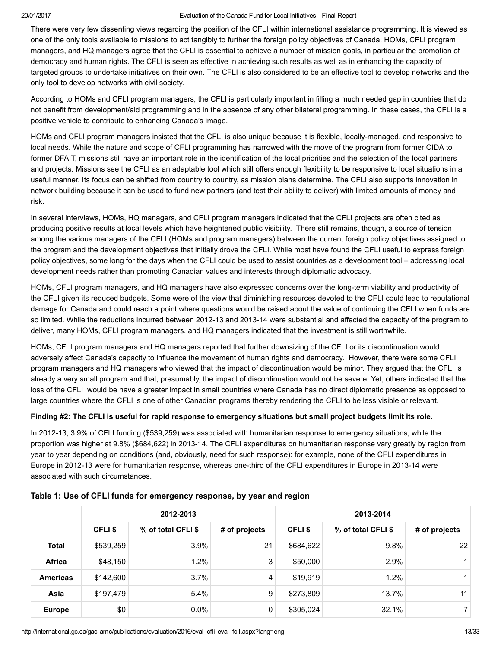There were very few dissenting views regarding the position of the CFLI within international assistance programming. It is viewed as one of the only tools available to missions to act tangibly to further the foreign policy objectives of Canada. HOMs, CFLI program managers, and HQ managers agree that the CFLI is essential to achieve a number of mission goals, in particular the promotion of democracy and human rights. The CFLI is seen as effective in achieving such results as well as in enhancing the capacity of targeted groups to undertake initiatives on their own. The CFLI is also considered to be an effective tool to develop networks and the only tool to develop networks with civil society.

According to HOMs and CFLI program managers, the CFLI is particularly important in filling a much needed gap in countries that do not benefit from development/aid programming and in the absence of any other bilateral programming. In these cases, the CFLI is a positive vehicle to contribute to enhancing Canada's image.

HOMs and CFLI program managers insisted that the CFLI is also unique because it is flexible, locally-managed, and responsive to local needs. While the nature and scope of CFLI programming has narrowed with the move of the program from former CIDA to former DFAIT, missions still have an important role in the identification of the local priorities and the selection of the local partners and projects. Missions see the CFLI as an adaptable tool which still offers enough flexibility to be responsive to local situations in a useful manner. Its focus can be shifted from country to country, as mission plans determine. The CFLI also supports innovation in network building because it can be used to fund new partners (and test their ability to deliver) with limited amounts of money and risk.

In several interviews, HOMs, HQ managers, and CFLI program managers indicated that the CFLI projects are often cited as producing positive results at local levels which have heightened public visibility. There still remains, though, a source of tension among the various managers of the CFLI (HOMs and program managers) between the current foreign policy objectives assigned to the program and the development objectives that initially drove the CFLI. While most have found the CFLI useful to express foreign policy objectives, some long for the days when the CFLI could be used to assist countries as a development tool – addressing local development needs rather than promoting Canadian values and interests through diplomatic advocacy.

HOMs, CFLI program managers, and HQ managers have also expressed concerns over the long-term viability and productivity of the CFLI given its reduced budgets. Some were of the view that diminishing resources devoted to the CFLI could lead to reputational damage for Canada and could reach a point where questions would be raised about the value of continuing the CFLI when funds are so limited. While the reductions incurred between 2012-13 and 2013-14 were substantial and affected the capacity of the program to deliver, many HOMs, CFLI program managers, and HQ managers indicated that the investment is still worthwhile.

HOMs, CFLI program managers and HQ managers reported that further downsizing of the CFLI or its discontinuation would adversely affect Canada's capacity to influence the movement of human rights and democracy. However, there were some CFLI program managers and HQ managers who viewed that the impact of discontinuation would be minor. They argued that the CFLI is already a very small program and that, presumably, the impact of discontinuation would not be severe. Yet, others indicated that the loss of the CFLI would be have a greater impact in small countries where Canada has no direct diplomatic presence as opposed to large countries where the CFLI is one of other Canadian programs thereby rendering the CFLI to be less visible or relevant.

#### Finding #2: The CFLI is useful for rapid response to emergency situations but small project budgets limit its role.

In 2012-13, 3.9% of CFLI funding (\$539,259) was associated with humanitarian response to emergency situations; while the proportion was higher at 9.8% (\$684,622) in 2013-14. The CFLI expenditures on humanitarian response vary greatly by region from year to year depending on conditions (and, obviously, need for such response): for example, none of the CFLI expenditures in Europe in 2012-13 were for humanitarian response, whereas one-third of the CFLI expenditures in Europe in 2013-14 were associated with such circumstances.

|                 | 2012-2013 |                    |                | 2013-2014    |                    |                 |  |
|-----------------|-----------|--------------------|----------------|--------------|--------------------|-----------------|--|
|                 | CFLI \$   | % of total CFLI \$ | # of projects  | <b>CFLIS</b> | % of total CFLI \$ | # of projects   |  |
| <b>Total</b>    | \$539,259 | 3.9%               | 21             | \$684,622    | 9.8%               | 22 <sub>1</sub> |  |
| <b>Africa</b>   | \$48,150  | 1.2%               | 3              | \$50,000     | 2.9%               | 1.              |  |
| <b>Americas</b> | \$142,600 | 3.7%               | $\overline{4}$ | \$19,919     | 1.2%               | 1.              |  |
| Asia            | \$197,479 | 5.4%               | 9              | \$273,809    | 13.7%              | 11              |  |
| <b>Europe</b>   | \$0       | $0.0\%$            | 0              | \$305,024    | 32.1%              | $\overline{7}$  |  |

#### Table 1: Use of CFLI funds for emergency response, by year and region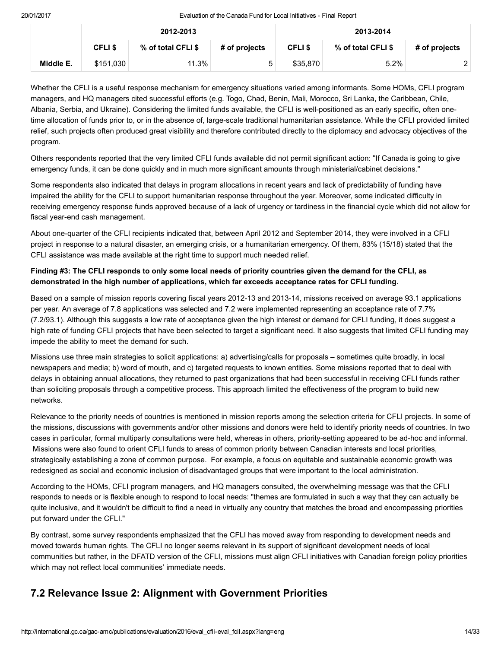|           | 2012-2013    |                    |               | 2013-2014    |                    |               |
|-----------|--------------|--------------------|---------------|--------------|--------------------|---------------|
|           | <b>CFLIS</b> | % of total CFLI \$ | # of projects | <b>CFLIS</b> | % of total CFLI \$ | # of projects |
| Middle E. | \$151.030    | 11.3%              |               | \$35,870     | 5.2%               |               |

Whether the CFLI is a useful response mechanism for emergency situations varied among informants. Some HOMs, CFLI program managers, and HQ managers cited successful efforts (e.g. Togo, Chad, Benin, Mali, Morocco, Sri Lanka, the Caribbean, Chile, Albania, Serbia, and Ukraine). Considering the limited funds available, the CFLI is well-positioned as an early specific, often onetime allocation of funds prior to, or in the absence of, large-scale traditional humanitarian assistance. While the CFLI provided limited relief, such projects often produced great visibility and therefore contributed directly to the diplomacy and advocacy objectives of the program.

Others respondents reported that the very limited CFLI funds available did not permit significant action: "If Canada is going to give emergency funds, it can be done quickly and in much more significant amounts through ministerial/cabinet decisions."

Some respondents also indicated that delays in program allocations in recent years and lack of predictability of funding have impaired the ability for the CFLI to support humanitarian response throughout the year. Moreover, some indicated difficulty in receiving emergency response funds approved because of a lack of urgency or tardiness in the financial cycle which did not allow for fiscal year-end cash management.

About one-quarter of the CFLI recipients indicated that, between April 2012 and September 2014, they were involved in a CFLI project in response to a natural disaster, an emerging crisis, or a humanitarian emergency. Of them, 83% (15/18) stated that the CFLI assistance was made available at the right time to support much needed relief.

### Finding #3: The CFLI responds to only some local needs of priority countries given the demand for the CFLI, as demonstrated in the high number of applications, which far exceeds acceptance rates for CFLI funding.

Based on a sample of mission reports covering fiscal years 2012-13 and 2013-14, missions received on average 93.1 applications per year. An average of 7.8 applications was selected and 7.2 were implemented representing an acceptance rate of 7.7% (7.2/93.1). Although this suggests a low rate of acceptance given the high interest or demand for CFLI funding, it does suggest a high rate of funding CFLI projects that have been selected to target a significant need. It also suggests that limited CFLI funding may impede the ability to meet the demand for such.

Missions use three main strategies to solicit applications: a) advertising/calls for proposals – sometimes quite broadly, in local newspapers and media; b) word of mouth, and c) targeted requests to known entities. Some missions reported that to deal with delays in obtaining annual allocations, they returned to past organizations that had been successful in receiving CFLI funds rather than soliciting proposals through a competitive process. This approach limited the effectiveness of the program to build new networks.

Relevance to the priority needs of countries is mentioned in mission reports among the selection criteria for CFLI projects. In some of the missions, discussions with governments and/or other missions and donors were held to identify priority needs of countries. In two cases in particular, formal multiparty consultations were held, whereas in others, priority-setting appeared to be ad-hoc and informal. Missions were also found to orient CFLI funds to areas of common priority between Canadian interests and local priorities, strategically establishing a zone of common purpose. For example, a focus on equitable and sustainable economic growth was redesigned as social and economic inclusion of disadvantaged groups that were important to the local administration.

According to the HOMs, CFLI program managers, and HQ managers consulted, the overwhelming message was that the CFLI responds to needs or is flexible enough to respond to local needs: "themes are formulated in such a way that they can actually be quite inclusive, and it wouldn't be difficult to find a need in virtually any country that matches the broad and encompassing priorities put forward under the CFLI."

By contrast, some survey respondents emphasized that the CFLI has moved away from responding to development needs and moved towards human rights. The CFLI no longer seems relevant in its support of significant development needs of local communities but rather, in the DFATD version of the CFLI, missions must align CFLI initiatives with Canadian foreign policy priorities which may not reflect local communities' immediate needs.

# <span id="page-13-0"></span>7.2 Relevance Issue 2: Alignment with Government Priorities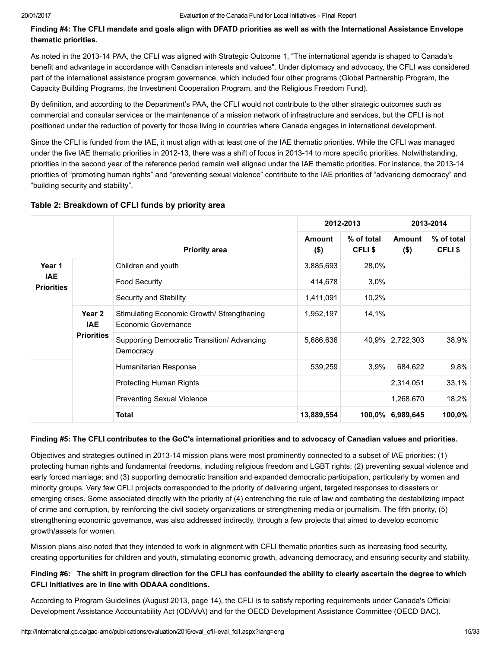Finding #4: The CFLI mandate and goals align with DFATD priorities as well as with the International Assistance Envelope thematic priorities.

As noted in the 2013-14 PAA, the CFLI was aligned with Strategic Outcome 1, "The international agenda is shaped to Canada's benefit and advantage in accordance with Canadian interests and values". Under diplomacy and advocacy, the CFLI was considered part of the international assistance program governance, which included four other programs (Global Partnership Program, the Capacity Building Programs, the Investment Cooperation Program, and the Religious Freedom Fund).

By definition, and according to the Department's PAA, the CFLI would not contribute to the other strategic outcomes such as commercial and consular services or the maintenance of a mission network of infrastructure and services, but the CFLI is not positioned under the reduction of poverty for those living in countries where Canada engages in international development.

Since the CFLI is funded from the IAE, it must align with at least one of the IAE thematic priorities. While the CFLI was managed under the five IAE thematic priorities in 2012-13, there was a shift of focus in 2013-14 to more specific priorities. Notwithstanding, priorities in the second year of the reference period remain well aligned under the IAE thematic priorities. For instance, the 2013-14 priorities of "promoting human rights" and "preventing sexual violence" contribute to the IAE priorities of "advancing democracy" and "building security and stability".

|                                 |                                           |                                                                   | 2012-2013         |                            | 2013-2014                |                            |
|---------------------------------|-------------------------------------------|-------------------------------------------------------------------|-------------------|----------------------------|--------------------------|----------------------------|
|                                 |                                           | <b>Priority area</b>                                              | Amount<br>$($ \$) | % of total<br><b>CFLIS</b> | <b>Amount</b><br>$($ \$) | % of total<br><b>CFLIS</b> |
| Year 1                          |                                           | Children and youth                                                | 3,885,693         | 28,0%                      |                          |                            |
| <b>IAE</b><br><b>Priorities</b> |                                           | <b>Food Security</b>                                              | 414,678           | 3,0%                       |                          |                            |
|                                 |                                           | Security and Stability                                            | 1,411,091         | 10,2%                      |                          |                            |
|                                 | Year 2<br><b>IAE</b><br><b>Priorities</b> | Stimulating Economic Growth/ Strengthening<br>Economic Governance | 1,952,197         | 14,1%                      |                          |                            |
|                                 |                                           | Supporting Democratic Transition/ Advancing<br>Democracy          | 5,686,636         |                            | 40,9% 2,722,303          | 38,9%                      |
|                                 |                                           | Humanitarian Response                                             | 539,259           | 3,9%                       | 684,622                  | 9,8%                       |
|                                 |                                           | <b>Protecting Human Rights</b>                                    |                   |                            | 2,314,051                | 33,1%                      |
|                                 |                                           | <b>Preventing Sexual Violence</b>                                 |                   |                            | 1,268,670                | 18,2%                      |
|                                 |                                           | <b>Total</b>                                                      | 13,889,554        | $100.0\%$                  | 6,989,645                | 100,0%                     |

### Table 2: Breakdown of CFLI funds by priority area

#### Finding #5: The CFLI contributes to the GoC's international priorities and to advocacy of Canadian values and priorities.

Objectives and strategies outlined in 201314 mission plans were most prominently connected to a subset of IAE priorities: (1) protecting human rights and fundamental freedoms, including religious freedom and LGBT rights; (2) preventing sexual violence and early forced marriage; and (3) supporting democratic transition and expanded democratic participation, particularly by women and minority groups. Very few CFLI projects corresponded to the priority of delivering urgent, targeted responses to disasters or emerging crises. Some associated directly with the priority of (4) entrenching the rule of law and combating the destabilizing impact of crime and corruption, by reinforcing the civil society organizations or strengthening media or journalism. The fifth priority, (5) strengthening economic governance, was also addressed indirectly, through a few projects that aimed to develop economic growth/assets for women.

Mission plans also noted that they intended to work in alignment with CFLI thematic priorities such as increasing food security, creating opportunities for children and youth, stimulating economic growth, advancing democracy, and ensuring security and stability.

#### Finding #6: The shift in program direction for the CFLI has confounded the ability to clearly ascertain the degree to which CFLI initiatives are in line with ODAAA conditions.

According to Program Guidelines (August 2013, page 14), the CFLI is to satisfy reporting requirements under Canada's Official Development Assistance Accountability Act (ODAAA) and for the OECD Development Assistance Committee (OECD DAC).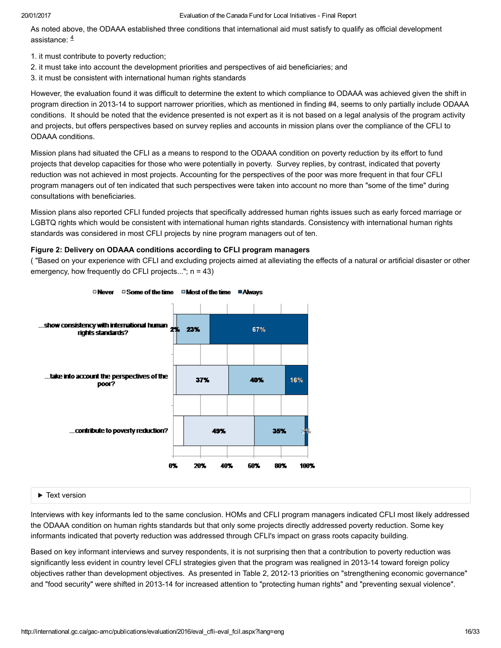<span id="page-15-0"></span>As noted above, the ODAAA established three conditions that international aid must satisfy to qualify as official development assistance: [4](#page-32-0)

- 1. it must contribute to poverty reduction;
- 2. it must take into account the development priorities and perspectives of aid beneficiaries; and
- 3. it must be consistent with international human rights standards

However, the evaluation found it was difficult to determine the extent to which compliance to ODAAA was achieved given the shift in program direction in 2013-14 to support narrower priorities, which as mentioned in finding #4, seems to only partially include ODAAA conditions. It should be noted that the evidence presented is not expert as it is not based on a legal analysis of the program activity and projects, but offers perspectives based on survey replies and accounts in mission plans over the compliance of the CFLI to ODAAA conditions.

Mission plans had situated the CFLI as a means to respond to the ODAAA condition on poverty reduction by its effort to fund projects that develop capacities for those who were potentially in poverty. Survey replies, by contrast, indicated that poverty reduction was not achieved in most projects. Accounting for the perspectives of the poor was more frequent in that four CFLI program managers out of ten indicated that such perspectives were taken into account no more than "some of the time" during consultations with beneficiaries.

Mission plans also reported CFLI funded projects that specifically addressed human rights issues such as early forced marriage or LGBTQ rights which would be consistent with international human rights standards. Consistency with international human rights standards was considered in most CFLI projects by nine program managers out of ten.

#### Figure 2: Delivery on ODAAA conditions according to CFLI program managers

( "Based on your experience with CFLI and excluding projects aimed at alleviating the effects of a natural or artificial disaster or other emergency, how frequently do CFLI projects...";  $n = 43$ )



#### Text version

Interviews with key informants led to the same conclusion. HOMs and CFLI program managers indicated CFLI most likely addressed the ODAAA condition on human rights standards but that only some projects directly addressed poverty reduction. Some key informants indicated that poverty reduction was addressed through CFLI's impact on grass roots capacity building.

Based on key informant interviews and survey respondents, it is not surprising then that a contribution to poverty reduction was significantly less evident in country level CFLI strategies given that the program was realigned in 2013-14 toward foreign policy objectives rather than development objectives. As presented in Table 2, 2012-13 priorities on "strengthening economic governance" and "food security" were shifted in 2013-14 for increased attention to "protecting human rights" and "preventing sexual violence".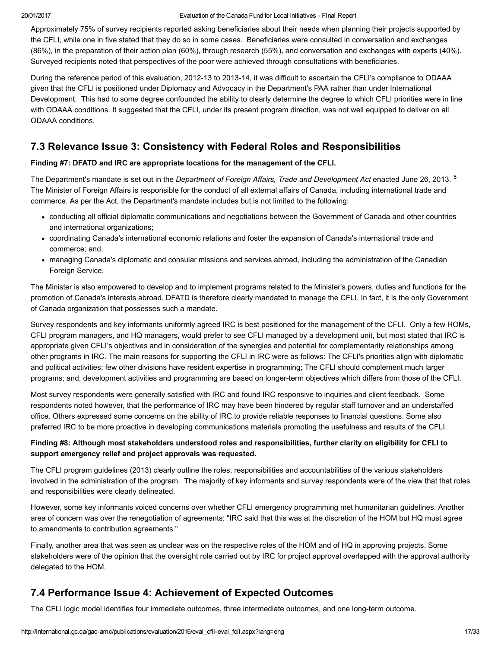Approximately 75% of survey recipients reported asking beneficiaries about their needs when planning their projects supported by the CFLI, while one in five stated that they do so in some cases. Beneficiaries were consulted in conversation and exchanges (86%), in the preparation of their action plan (60%), through research (55%), and conversation and exchanges with experts (40%). Surveyed recipients noted that perspectives of the poor were achieved through consultations with beneficiaries.

During the reference period of this evaluation, 2012-13 to 2013-14, it was difficult to ascertain the CFLI's compliance to ODAAA given that the CFLI is positioned under Diplomacy and Advocacy in the Department's PAA rather than under International Development. This had to some degree confounded the ability to clearly determine the degree to which CFLI priorities were in line with ODAAA conditions. It suggested that the CFLI, under its present program direction, was not well equipped to deliver on all ODAAA conditions.

# <span id="page-16-0"></span>7.3 Relevance Issue 3: Consistency with Federal Roles and Responsibilities

#### Finding #7: DFATD and IRC are appropriate locations for the management of the CFLI.

The Department's mandate is set out in the *Department of Foreign Affairs, Trade and Development Act* enacted June 26, 2013. <sup>[5](#page-32-1)</sup> The Minister of Foreign Affairs is responsible for the conduct of all external affairs of Canada, including international trade and commerce. As per the Act, the Department's mandate includes but is not limited to the following:

- <span id="page-16-2"></span>conducting all official diplomatic communications and negotiations between the Government of Canada and other countries and international organizations;
- coordinating Canada's international economic relations and foster the expansion of Canada's international trade and commerce; and,
- managing Canada's diplomatic and consular missions and services abroad, including the administration of the Canadian Foreign Service.

The Minister is also empowered to develop and to implement programs related to the Minister's powers, duties and functions for the promotion of Canada's interests abroad. DFATD is therefore clearly mandated to manage the CFLI. In fact, it is the only Government of Canada organization that possesses such a mandate.

Survey respondents and key informants uniformly agreed IRC is best positioned for the management of the CFLI. Only a few HOMs, CFLI program managers, and HQ managers, would prefer to see CFLI managed by a development unit, but most stated that IRC is appropriate given CFLI's objectives and in consideration of the synergies and potential for complementarity relationships among other programs in IRC. The main reasons for supporting the CFLI in IRC were as follows: The CFLI's priorities align with diplomatic and political activities; few other divisions have resident expertise in programming; The CFLI should complement much larger programs; and, development activities and programming are based on longerterm objectives which differs from those of the CFLI.

Most survey respondents were generally satisfied with IRC and found IRC responsive to inquiries and client feedback. Some respondents noted however, that the performance of IRC may have been hindered by regular staff turnover and an understaffed office. Others expressed some concerns on the ability of IRC to provide reliable responses to financial questions. Some also preferred IRC to be more proactive in developing communications materials promoting the usefulness and results of the CFLI.

### Finding #8: Although most stakeholders understood roles and responsibilities, further clarity on eligibility for CFLI to support emergency relief and project approvals was requested.

The CFLI program guidelines (2013) clearly outline the roles, responsibilities and accountabilities of the various stakeholders involved in the administration of the program. The majority of key informants and survey respondents were of the view that that roles and responsibilities were clearly delineated.

However, some key informants voiced concerns over whether CFLI emergency programming met humanitarian guidelines. Another area of concern was over the renegotiation of agreements: "IRC said that this was at the discretion of the HOM but HQ must agree to amendments to contribution agreements."

Finally, another area that was seen as unclear was on the respective roles of the HOM and of HQ in approving projects. Some stakeholders were of the opinion that the oversight role carried out by IRC for project approval overlapped with the approval authority delegated to the HOM.

# <span id="page-16-1"></span>7.4 Performance Issue 4: Achievement of Expected Outcomes

The CFLI logic model identifies four immediate outcomes, three intermediate outcomes, and one long-term outcome.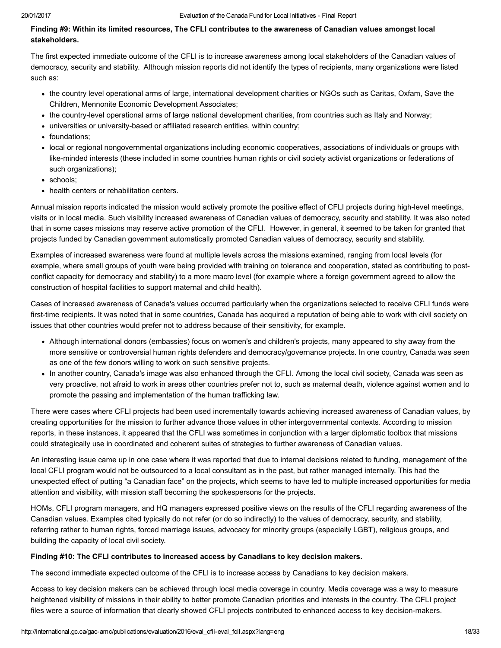#### Finding #9: Within its limited resources, The CFLI contributes to the awareness of Canadian values amongst local stakeholders.

The first expected immediate outcome of the CFLI is to increase awareness among local stakeholders of the Canadian values of democracy, security and stability. Although mission reports did not identify the types of recipients, many organizations were listed such as:

- the country level operational arms of large, international development charities or NGOs such as Caritas, Oxfam, Save the Children, Mennonite Economic Development Associates;
- the countrylevel operational arms of large national development charities, from countries such as Italy and Norway;
- universities or university-based or affiliated research entities, within country;
- foundations:
- local or regional nongovernmental organizations including economic cooperatives, associations of individuals or groups with like-minded interests (these included in some countries human rights or civil society activist organizations or federations of such organizations);
- schools:
- health centers or rehabilitation centers.

Annual mission reports indicated the mission would actively promote the positive effect of CFLI projects during high-level meetings, visits or in local media. Such visibility increased awareness of Canadian values of democracy, security and stability. It was also noted that in some cases missions may reserve active promotion of the CFLI. However, in general, it seemed to be taken for granted that projects funded by Canadian government automatically promoted Canadian values of democracy, security and stability.

Examples of increased awareness were found at multiple levels across the missions examined, ranging from local levels (for example, where small groups of youth were being provided with training on tolerance and cooperation, stated as contributing to postconflict capacity for democracy and stability) to a more macro level (for example where a foreign government agreed to allow the construction of hospital facilities to support maternal and child health).

Cases of increased awareness of Canada's values occurred particularly when the organizations selected to receive CFLI funds were first-time recipients. It was noted that in some countries, Canada has acquired a reputation of being able to work with civil society on issues that other countries would prefer not to address because of their sensitivity, for example.

- Although international donors (embassies) focus on women's and children's projects, many appeared to shy away from the more sensitive or controversial human rights defenders and democracy/governance projects. In one country, Canada was seen as one of the few donors willing to work on such sensitive projects.
- In another country, Canada's image was also enhanced through the CFLI. Among the local civil society, Canada was seen as very proactive, not afraid to work in areas other countries prefer not to, such as maternal death, violence against women and to promote the passing and implementation of the human trafficking law.

There were cases where CFLI projects had been used incrementally towards achieving increased awareness of Canadian values, by creating opportunities for the mission to further advance those values in other intergovernmental contexts. According to mission reports, in these instances, it appeared that the CFLI was sometimes in conjunction with a larger diplomatic toolbox that missions could strategically use in coordinated and coherent suites of strategies to further awareness of Canadian values.

An interesting issue came up in one case where it was reported that due to internal decisions related to funding, management of the local CFLI program would not be outsourced to a local consultant as in the past, but rather managed internally. This had the unexpected effect of putting "a Canadian face" on the projects, which seems to have led to multiple increased opportunities for media attention and visibility, with mission staff becoming the spokespersons for the projects.

HOMs, CFLI program managers, and HQ managers expressed positive views on the results of the CFLI regarding awareness of the Canadian values. Examples cited typically do not refer (or do so indirectly) to the values of democracy, security, and stability, referring rather to human rights, forced marriage issues, advocacy for minority groups (especially LGBT), religious groups, and building the capacity of local civil society.

#### Finding #10: The CFLI contributes to increased access by Canadians to key decision makers.

The second immediate expected outcome of the CFLI is to increase access by Canadians to key decision makers.

Access to key decision makers can be achieved through local media coverage in country. Media coverage was a way to measure heightened visibility of missions in their ability to better promote Canadian priorities and interests in the country. The CFLI project files were a source of information that clearly showed CFLI projects contributed to enhanced access to key decision-makers.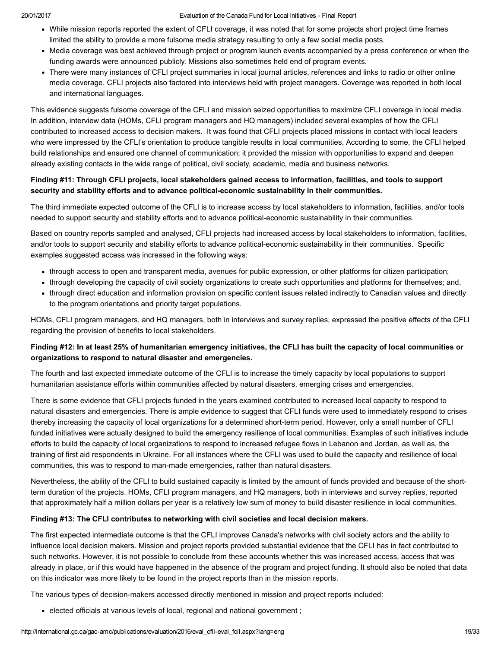- While mission reports reported the extent of CFLI coverage, it was noted that for some projects short project time frames limited the ability to provide a more fulsome media strategy resulting to only a few social media posts.
- Media coverage was best achieved through project or program launch events accompanied by a press conference or when the funding awards were announced publicly. Missions also sometimes held end of program events.
- There were many instances of CFLI project summaries in local journal articles, references and links to radio or other online media coverage. CFLI projects also factored into interviews held with project managers. Coverage was reported in both local and international languages.

This evidence suggests fulsome coverage of the CFLI and mission seized opportunities to maximize CFLI coverage in local media. In addition, interview data (HOMs, CFLI program managers and HQ managers) included several examples of how the CFLI contributed to increased access to decision makers. It was found that CFLI projects placed missions in contact with local leaders who were impressed by the CFLI's orientation to produce tangible results in local communities. According to some, the CFLI helped build relationships and ensured one channel of communication; it provided the mission with opportunities to expand and deepen already existing contacts in the wide range of political, civil society, academic, media and business networks.

#### Finding #11: Through CFLI projects, local stakeholders gained access to information, facilities, and tools to support security and stability efforts and to advance political-economic sustainability in their communities.

The third immediate expected outcome of the CFLI is to increase access by local stakeholders to information, facilities, and/or tools needed to support security and stability efforts and to advance political-economic sustainability in their communities.

Based on country reports sampled and analysed, CFLI projects had increased access by local stakeholders to information, facilities, and/or tools to support security and stability efforts to advance political-economic sustainability in their communities. Specific examples suggested access was increased in the following ways:

- through access to open and transparent media, avenues for public expression, or other platforms for citizen participation;
- through developing the capacity of civil society organizations to create such opportunities and platforms for themselves; and,
- through direct education and information provision on specific content issues related indirectly to Canadian values and directly to the program orientations and priority target populations.

HOMs, CFLI program managers, and HQ managers, both in interviews and survey replies, expressed the positive effects of the CFLI regarding the provision of benefits to local stakeholders.

### Finding #12: In at least 25% of humanitarian emergency initiatives, the CFLI has built the capacity of local communities or organizations to respond to natural disaster and emergencies.

The fourth and last expected immediate outcome of the CFLI is to increase the timely capacity by local populations to support humanitarian assistance efforts within communities affected by natural disasters, emerging crises and emergencies.

There is some evidence that CFLI projects funded in the years examined contributed to increased local capacity to respond to natural disasters and emergencies. There is ample evidence to suggest that CFLI funds were used to immediately respond to crises thereby increasing the capacity of local organizations for a determined short-term period. However, only a small number of CFLI funded initiatives were actually designed to build the emergency resilience of local communities. Examples of such initiatives include efforts to build the capacity of local organizations to respond to increased refugee flows in Lebanon and Jordan, as well as, the training of first aid respondents in Ukraine. For all instances where the CFLI was used to build the capacity and resilience of local communities, this was to respond to manmade emergencies, rather than natural disasters.

Nevertheless, the ability of the CFLI to build sustained capacity is limited by the amount of funds provided and because of the shortterm duration of the projects. HOMs, CFLI program managers, and HQ managers, both in interviews and survey replies, reported that approximately half a million dollars per year is a relatively low sum of money to build disaster resilience in local communities.

#### Finding #13: The CFLI contributes to networking with civil societies and local decision makers.

The first expected intermediate outcome is that the CFLI improves Canada's networks with civil society actors and the ability to influence local decision makers. Mission and project reports provided substantial evidence that the CFLI has in fact contributed to such networks. However, it is not possible to conclude from these accounts whether this was increased access, access that was already in place, or if this would have happened in the absence of the program and project funding. It should also be noted that data on this indicator was more likely to be found in the project reports than in the mission reports.

The various types of decision-makers accessed directly mentioned in mission and project reports included:

elected officials at various levels of local, regional and national government ;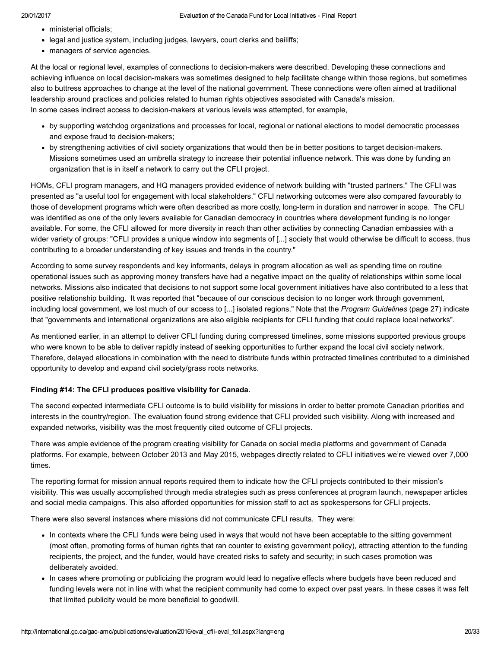- ministerial officials;
- legal and justice system, including judges, lawyers, court clerks and bailiffs;
- managers of service agencies.

At the local or regional level, examples of connections to decision-makers were described. Developing these connections and achieving influence on local decision-makers was sometimes designed to help facilitate change within those regions, but sometimes also to buttress approaches to change at the level of the national government. These connections were often aimed at traditional leadership around practices and policies related to human rights objectives associated with Canada's mission. In some cases indirect access to decision-makers at various levels was attempted, for example,

- by supporting watchdog organizations and processes for local, regional or national elections to model democratic processes and expose fraud to decision-makers;
- by strengthening activities of civil society organizations that would then be in better positions to target decision-makers. Missions sometimes used an umbrella strategy to increase their potential influence network. This was done by funding an organization that is in itself a network to carry out the CFLI project.

HOMs, CFLI program managers, and HQ managers provided evidence of network building with "trusted partners." The CFLI was presented as "a useful tool for engagement with local stakeholders." CFLI networking outcomes were also compared favourably to those of development programs which were often described as more costly, long-term in duration and narrower in scope. The CFLI was identified as one of the only levers available for Canadian democracy in countries where development funding is no longer available. For some, the CFLI allowed for more diversity in reach than other activities by connecting Canadian embassies with a wider variety of groups: "CFLI provides a unique window into segments of [...] society that would otherwise be difficult to access, thus contributing to a broader understanding of key issues and trends in the country."

According to some survey respondents and key informants, delays in program allocation as well as spending time on routine operational issues such as approving money transfers have had a negative impact on the quality of relationships within some local networks. Missions also indicated that decisions to not support some local government initiatives have also contributed to a less that positive relationship building. It was reported that "because of our conscious decision to no longer work through government, including local government, we lost much of our access to [...] isolated regions." Note that the Program Guidelines (page 27) indicate that "governments and international organizations are also eligible recipients for CFLI funding that could replace local networks".

As mentioned earlier, in an attempt to deliver CFLI funding during compressed timelines, some missions supported previous groups who were known to be able to deliver rapidly instead of seeking opportunities to further expand the local civil society network. Therefore, delayed allocations in combination with the need to distribute funds within protracted timelines contributed to a diminished opportunity to develop and expand civil society/grass roots networks.

#### Finding #14: The CFLI produces positive visibility for Canada.

The second expected intermediate CFLI outcome is to build visibility for missions in order to better promote Canadian priorities and interests in the country/region. The evaluation found strong evidence that CFLI provided such visibility. Along with increased and expanded networks, visibility was the most frequently cited outcome of CFLI projects.

There was ample evidence of the program creating visibility for Canada on social media platforms and government of Canada platforms. For example, between October 2013 and May 2015, webpages directly related to CFLI initiatives we're viewed over 7,000 times.

The reporting format for mission annual reports required them to indicate how the CFLI projects contributed to their mission's visibility. This was usually accomplished through media strategies such as press conferences at program launch, newspaper articles and social media campaigns. This also afforded opportunities for mission staff to act as spokespersons for CFLI projects.

There were also several instances where missions did not communicate CFLI results. They were:

- In contexts where the CFLI funds were being used in ways that would not have been acceptable to the sitting government (most often, promoting forms of human rights that ran counter to existing government policy), attracting attention to the funding recipients, the project, and the funder, would have created risks to safety and security; in such cases promotion was deliberately avoided.
- In cases where promoting or publicizing the program would lead to negative effects where budgets have been reduced and funding levels were not in line with what the recipient community had come to expect over past years. In these cases it was felt that limited publicity would be more beneficial to goodwill.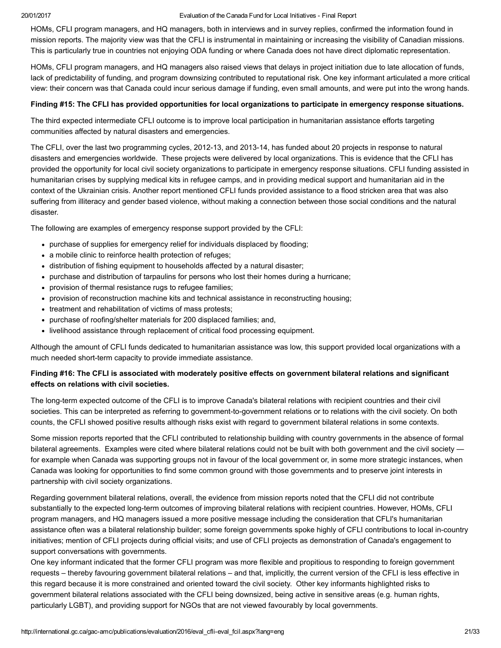HOMs, CFLI program managers, and HQ managers, both in interviews and in survey replies, confirmed the information found in mission reports. The majority view was that the CFLI is instrumental in maintaining or increasing the visibility of Canadian missions. This is particularly true in countries not enjoying ODA funding or where Canada does not have direct diplomatic representation.

HOMs, CFLI program managers, and HQ managers also raised views that delays in project initiation due to late allocation of funds, lack of predictability of funding, and program downsizing contributed to reputational risk. One key informant articulated a more critical view: their concern was that Canada could incur serious damage if funding, even small amounts, and were put into the wrong hands.

#### Finding #15: The CFLI has provided opportunities for local organizations to participate in emergency response situations.

The third expected intermediate CFLI outcome is to improve local participation in humanitarian assistance efforts targeting communities affected by natural disasters and emergencies.

The CFLI, over the last two programming cycles, 2012-13, and 2013-14, has funded about 20 projects in response to natural disasters and emergencies worldwide. These projects were delivered by local organizations. This is evidence that the CFLI has provided the opportunity for local civil society organizations to participate in emergency response situations. CFLI funding assisted in humanitarian crises by supplying medical kits in refugee camps, and in providing medical support and humanitarian aid in the context of the Ukrainian crisis. Another report mentioned CFLI funds provided assistance to a flood stricken area that was also suffering from illiteracy and gender based violence, without making a connection between those social conditions and the natural disaster.

The following are examples of emergency response support provided by the CFLI:

- purchase of supplies for emergency relief for individuals displaced by flooding;
- a mobile clinic to reinforce health protection of refuges;
- distribution of fishing equipment to households affected by a natural disaster;
- purchase and distribution of tarpaulins for persons who lost their homes during a hurricane;
- provision of thermal resistance rugs to refugee families;
- provision of reconstruction machine kits and technical assistance in reconstructing housing;
- treatment and rehabilitation of victims of mass protests:
- purchase of roofing/shelter materials for 200 displaced families; and,
- livelihood assistance through replacement of critical food processing equipment.

Although the amount of CFLI funds dedicated to humanitarian assistance was low, this support provided local organizations with a much needed short-term capacity to provide immediate assistance.

### Finding #16: The CFLI is associated with moderately positive effects on government bilateral relations and significant effects on relations with civil societies.

The long-term expected outcome of the CFLI is to improve Canada's bilateral relations with recipient countries and their civil societies. This can be interpreted as referring to government-to-government relations or to relations with the civil society. On both counts, the CFLI showed positive results although risks exist with regard to government bilateral relations in some contexts.

Some mission reports reported that the CFLI contributed to relationship building with country governments in the absence of formal bilateral agreements. Examples were cited where bilateral relations could not be built with both government and the civil society for example when Canada was supporting groups not in favour of the local government or, in some more strategic instances, when Canada was looking for opportunities to find some common ground with those governments and to preserve joint interests in partnership with civil society organizations.

Regarding government bilateral relations, overall, the evidence from mission reports noted that the CFLI did not contribute substantially to the expected long-term outcomes of improving bilateral relations with recipient countries. However, HOMs, CFLI program managers, and HQ managers issued a more positive message including the consideration that CFLI's humanitarian assistance often was a bilateral relationship builder; some foreign governments spoke highly of CFLI contributions to local in-country initiatives; mention of CFLI projects during official visits; and use of CFLI projects as demonstration of Canada's engagement to support conversations with governments.

One key informant indicated that the former CFLI program was more flexible and propitious to responding to foreign government requests – thereby favouring government bilateral relations – and that, implicitly, the current version of the CFLI is less effective in this regard because it is more constrained and oriented toward the civil society. Other key informants highlighted risks to government bilateral relations associated with the CFLI being downsized, being active in sensitive areas (e.g. human rights, particularly LGBT), and providing support for NGOs that are not viewed favourably by local governments.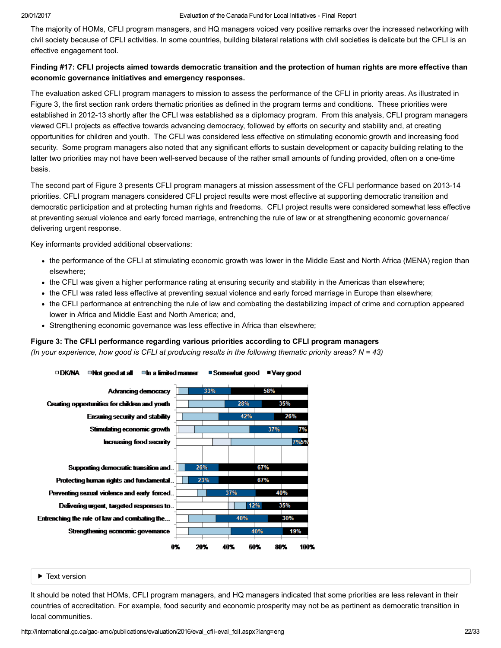The majority of HOMs, CFLI program managers, and HQ managers voiced very positive remarks over the increased networking with civil society because of CFLI activities. In some countries, building bilateral relations with civil societies is delicate but the CFLI is an effective engagement tool.

#### Finding #17: CFLI projects aimed towards democratic transition and the protection of human rights are more effective than economic governance initiatives and emergency responses.

The evaluation asked CFLI program managers to mission to assess the performance of the CFLI in priority areas. As illustrated in Figure 3, the first section rank orders thematic priorities as defined in the program terms and conditions. These priorities were established in 2012-13 shortly after the CFLI was established as a diplomacy program. From this analysis, CFLI program managers viewed CFLI projects as effective towards advancing democracy, followed by efforts on security and stability and, at creating opportunities for children and youth. The CFLI was considered less effective on stimulating economic growth and increasing food security. Some program managers also noted that any significant efforts to sustain development or capacity building relating to the latter two priorities may not have been well-served because of the rather small amounts of funding provided, often on a one-time basis.

The second part of Figure 3 presents CFLI program managers at mission assessment of the CFLI performance based on 2013-14 priorities. CFLI program managers considered CFLI project results were most effective at supporting democratic transition and democratic participation and at protecting human rights and freedoms. CFLI project results were considered somewhat less effective at preventing sexual violence and early forced marriage, entrenching the rule of law or at strengthening economic governance/ delivering urgent response.

Key informants provided additional observations:

- the performance of the CFLI at stimulating economic growth was lower in the Middle East and North Africa (MENA) region than elsewhere;
- the CFLI was given a higher performance rating at ensuring security and stability in the Americas than elsewhere;
- the CFLI was rated less effective at preventing sexual violence and early forced marriage in Europe than elsewhere;
- the CFLI performance at entrenching the rule of law and combating the destabilizing impact of crime and corruption appeared lower in Africa and Middle East and North America; and,
- Strengthening economic governance was less effective in Africa than elsewhere;

#### Figure 3: The CFLI performance regarding various priorities according to CFLI program managers

(In your experience, how good is CFLI at producing results in the following thematic priority areas?  $N = 43$ )



#### Text version

It should be noted that HOMs, CFLI program managers, and HQ managers indicated that some priorities are less relevant in their countries of accreditation. For example, food security and economic prosperity may not be as pertinent as democratic transition in local communities.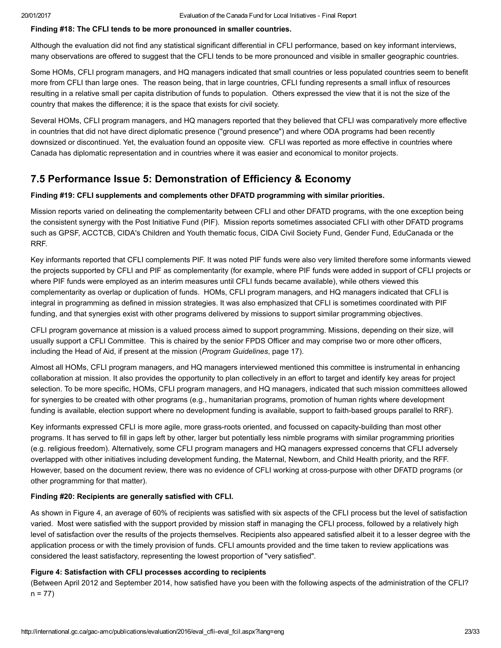#### Finding #18: The CFLI tends to be more pronounced in smaller countries.

Although the evaluation did not find any statistical significant differential in CFLI performance, based on key informant interviews, many observations are offered to suggest that the CFLI tends to be more pronounced and visible in smaller geographic countries.

Some HOMs, CFLI program managers, and HQ managers indicated that small countries or less populated countries seem to benefit more from CFLI than large ones. The reason being, that in large countries, CFLI funding represents a small influx of resources resulting in a relative small per capita distribution of funds to population. Others expressed the view that it is not the size of the country that makes the difference; it is the space that exists for civil society.

Several HOMs, CFLI program managers, and HQ managers reported that they believed that CFLI was comparatively more effective in countries that did not have direct diplomatic presence ("ground presence") and where ODA programs had been recently downsized or discontinued. Yet, the evaluation found an opposite view. CFLI was reported as more effective in countries where Canada has diplomatic representation and in countries where it was easier and economical to monitor projects.

## <span id="page-22-0"></span>7.5 Performance Issue 5: Demonstration of Efficiency & Economy

#### Finding #19: CFLI supplements and complements other DFATD programming with similar priorities.

Mission reports varied on delineating the complementarity between CFLI and other DFATD programs, with the one exception being the consistent synergy with the Post Initiative Fund (PIF). Mission reports sometimes associated CFLI with other DFATD programs such as GPSF, ACCTCB, CIDA's Children and Youth thematic focus, CIDA Civil Society Fund, Gender Fund, EduCanada or the RRF.

Key informants reported that CFLI complements PIF. It was noted PIF funds were also very limited therefore some informants viewed the projects supported by CFLI and PIF as complementarity (for example, where PIF funds were added in support of CFLI projects or where PIF funds were employed as an interim measures until CFLI funds became available), while others viewed this complementarity as overlap or duplication of funds. HOMs, CFLI program managers, and HQ managers indicated that CFLI is integral in programming as defined in mission strategies. It was also emphasized that CFLI is sometimes coordinated with PIF funding, and that synergies exist with other programs delivered by missions to support similar programming objectives.

CFLI program governance at mission is a valued process aimed to support programming. Missions, depending on their size, will usually support a CFLI Committee. This is chaired by the senior FPDS Officer and may comprise two or more other officers, including the Head of Aid, if present at the mission (Program Guidelines, page 17).

Almost all HOMs, CFLI program managers, and HQ managers interviewed mentioned this committee is instrumental in enhancing collaboration at mission. It also provides the opportunity to plan collectively in an effort to target and identify key areas for project selection. To be more specific, HOMs, CFLI program managers, and HQ managers, indicated that such mission committees allowed for synergies to be created with other programs (e.g., humanitarian programs, promotion of human rights where development funding is available, election support where no development funding is available, support to faith-based groups parallel to RRF).

Key informants expressed CFLI is more agile, more grass-roots oriented, and focussed on capacity-building than most other programs. It has served to fill in gaps left by other, larger but potentially less nimble programs with similar programming priorities (e.g. religious freedom). Alternatively, some CFLI program managers and HQ managers expressed concerns that CFLI adversely overlapped with other initiatives including development funding, the Maternal, Newborn, and Child Health priority, and the RFF. However, based on the document review, there was no evidence of CFLI working at cross-purpose with other DFATD programs (or other programming for that matter).

#### Finding #20: Recipients are generally satisfied with CFLI.

As shown in Figure 4, an average of 60% of recipients was satisfied with six aspects of the CFLI process but the level of satisfaction varied. Most were satisfied with the support provided by mission staff in managing the CFLI process, followed by a relatively high level of satisfaction over the results of the projects themselves. Recipients also appeared satisfied albeit it to a lesser degree with the application process or with the timely provision of funds. CFLI amounts provided and the time taken to review applications was considered the least satisfactory, representing the lowest proportion of "very satisfied".

#### Figure 4: Satisfaction with CFLI processes according to recipients

(Between April 2012 and September 2014, how satisfied have you been with the following aspects of the administration of the CFLI?  $n = 77$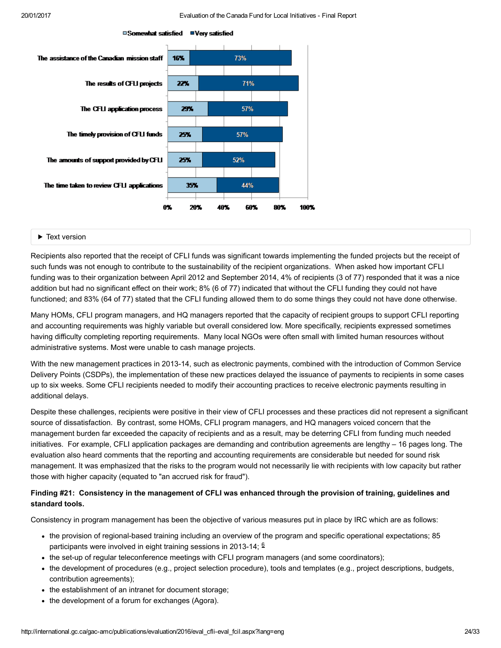

#### □Somewhat satisfied ■Very satisfied

#### Text version

Recipients also reported that the receipt of CFLI funds was significant towards implementing the funded projects but the receipt of such funds was not enough to contribute to the sustainability of the recipient organizations. When asked how important CFLI funding was to their organization between April 2012 and September 2014, 4% of recipients (3 of 77) responded that it was a nice addition but had no significant effect on their work; 8% (6 of 77) indicated that without the CFLI funding they could not have functioned; and 83% (64 of 77) stated that the CFLI funding allowed them to do some things they could not have done otherwise.

Many HOMs, CFLI program managers, and HQ managers reported that the capacity of recipient groups to support CFLI reporting and accounting requirements was highly variable but overall considered low. More specifically, recipients expressed sometimes having difficulty completing reporting requirements. Many local NGOs were often small with limited human resources without administrative systems. Most were unable to cash manage projects.

With the new management practices in 2013-14, such as electronic payments, combined with the introduction of Common Service Delivery Points (CSDPs), the implementation of these new practices delayed the issuance of payments to recipients in some cases up to six weeks. Some CFLI recipients needed to modify their accounting practices to receive electronic payments resulting in additional delays.

Despite these challenges, recipients were positive in their view of CFLI processes and these practices did not represent a significant source of dissatisfaction. By contrast, some HOMs, CFLI program managers, and HQ managers voiced concern that the management burden far exceeded the capacity of recipients and as a result, may be deterring CFLI from funding much needed initiatives. For example, CFLI application packages are demanding and contribution agreements are lengthy – 16 pages long. The evaluation also heard comments that the reporting and accounting requirements are considerable but needed for sound risk management. It was emphasized that the risks to the program would not necessarily lie with recipients with low capacity but rather those with higher capacity (equated to "an accrued risk for fraud").

#### Finding #21: Consistency in the management of CFLI was enhanced through the provision of training, guidelines and standard tools.

Consistency in program management has been the objective of various measures put in place by IRC which are as follows:

- <span id="page-23-0"></span>• the provision of regional-based training including an overview of the program and specific operational expectations; 85 participants were involved in eight training sessions in 2013-14;  $^{\text{6}}$  $^{\text{6}}$  $^{\text{6}}$
- the set-up of regular teleconference meetings with CFLI program managers (and some coordinators);
- the development of procedures (e.g., project selection procedure), tools and templates (e.g., project descriptions, budgets, contribution agreements);
- the establishment of an intranet for document storage;
- the development of a forum for exchanges (Agora).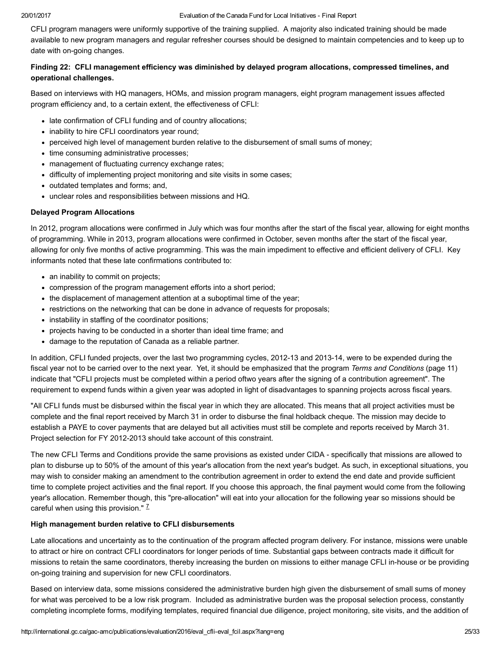CFLI program managers were uniformly supportive of the training supplied. A majority also indicated training should be made available to new program managers and regular refresher courses should be designed to maintain competencies and to keep up to date with on-going changes.

#### Finding 22: CFLI management efficiency was diminished by delayed program allocations, compressed timelines, and operational challenges.

Based on interviews with HQ managers, HOMs, and mission program managers, eight program management issues affected program efficiency and, to a certain extent, the effectiveness of CFLI:

- late confirmation of CFLI funding and of country allocations;
- inability to hire CFLI coordinators year round;
- perceived high level of management burden relative to the disbursement of small sums of money;
- time consuming administrative processes;
- management of fluctuating currency exchange rates;
- difficulty of implementing project monitoring and site visits in some cases;
- outdated templates and forms; and,
- unclear roles and responsibilities between missions and HQ.

#### Delayed Program Allocations

In 2012, program allocations were confirmed in July which was four months after the start of the fiscal year, allowing for eight months of programming. While in 2013, program allocations were confirmed in October, seven months after the start of the fiscal year, allowing for only five months of active programming. This was the main impediment to effective and efficient delivery of CFLI. Key informants noted that these late confirmations contributed to:

- an inability to commit on projects:
- compression of the program management efforts into a short period;
- the displacement of management attention at a suboptimal time of the year;
- restrictions on the networking that can be done in advance of requests for proposals;
- instability in staffing of the coordinator positions;
- projects having to be conducted in a shorter than ideal time frame; and
- damage to the reputation of Canada as a reliable partner.

In addition, CFLI funded projects, over the last two programming cycles, 2012-13 and 2013-14, were to be expended during the fiscal year not to be carried over to the next year. Yet, it should be emphasized that the program Terms and Conditions (page 11) indicate that "CFLI projects must be completed within a period oftwo years after the signing of a contribution agreement". The requirement to expend funds within a given year was adopted in light of disadvantages to spanning projects across fiscal years.

"All CFLI funds must be disbursed within the fiscal year in which they are allocated. This means that all project activities must be complete and the final report received by March 31 in order to disburse the final holdback cheque. The mission may decide to establish a PAYE to cover payments that are delayed but all activities must still be complete and reports received by March 31. Project selection for FY 2012-2013 should take account of this constraint.

The new CFLI Terms and Conditions provide the same provisions as existed under CIDA - specifically that missions are allowed to plan to disburse up to 50% of the amount of this year's allocation from the next year's budget. As such, in exceptional situations, you may wish to consider making an amendment to the contribution agreement in order to extend the end date and provide sufficient time to complete project activities and the final report. If you choose this approach, the final payment would come from the following year's allocation. Remember though, this "pre-allocation" will eat into your allocation for the following year so missions should be careful when using this provision." <sup>Z</sup>

#### <span id="page-24-0"></span>High management burden relative to CFLI disbursements

Late allocations and uncertainty as to the continuation of the program affected program delivery. For instance, missions were unable to attract or hire on contract CFLI coordinators for longer periods of time. Substantial gaps between contracts made it difficult for missions to retain the same coordinators, thereby increasing the burden on missions to either manage CFLI in-house or be providing on-going training and supervision for new CFLI coordinators.

Based on interview data, some missions considered the administrative burden high given the disbursement of small sums of money for what was perceived to be a low risk program. Included as administrative burden was the proposal selection process, constantly completing incomplete forms, modifying templates, required financial due diligence, project monitoring, site visits, and the addition of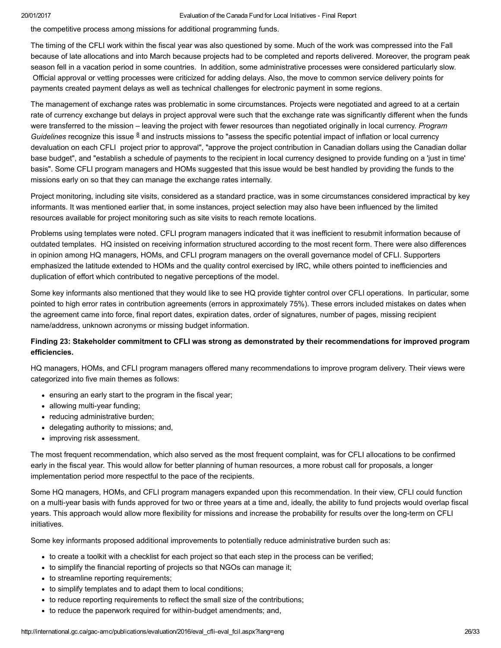the competitive process among missions for additional programming funds.

The timing of the CFLI work within the fiscal year was also questioned by some. Much of the work was compressed into the Fall because of late allocations and into March because projects had to be completed and reports delivered. Moreover, the program peak season fell in a vacation period in some countries. In addition, some administrative processes were considered particularly slow. Official approval or vetting processes were criticized for adding delays. Also, the move to common service delivery points for payments created payment delays as well as technical challenges for electronic payment in some regions.

<span id="page-25-0"></span>The management of exchange rates was problematic in some circumstances. Projects were negotiated and agreed to at a certain rate of currency exchange but delays in project approval were such that the exchange rate was significantly different when the funds were transferred to the mission – leaving the project with fewer resources than negotiated originally in local currency. Program Guidelines recognize this issue  $8$  and instructs missions to "assess the specific potential impact of inflation or local currency devaluation on each CFLI project prior to approval", "approve the project contribution in Canadian dollars using the Canadian dollar base budget", and "establish a schedule of payments to the recipient in local currency designed to provide funding on a 'just in time' basis". Some CFLI program managers and HOMs suggested that this issue would be best handled by providing the funds to the missions early on so that they can manage the exchange rates internally.

Project monitoring, including site visits, considered as a standard practice, was in some circumstances considered impractical by key informants. It was mentioned earlier that, in some instances, project selection may also have been influenced by the limited resources available for project monitoring such as site visits to reach remote locations.

Problems using templates were noted. CFLI program managers indicated that it was inefficient to resubmit information because of outdated templates. HQ insisted on receiving information structured according to the most recent form. There were also differences in opinion among HQ managers, HOMs, and CFLI program managers on the overall governance model of CFLI. Supporters emphasized the latitude extended to HOMs and the quality control exercised by IRC, while others pointed to inefficiencies and duplication of effort which contributed to negative perceptions of the model.

Some key informants also mentioned that they would like to see HQ provide tighter control over CFLI operations. In particular, some pointed to high error rates in contribution agreements (errors in approximately 75%). These errors included mistakes on dates when the agreement came into force, final report dates, expiration dates, order of signatures, number of pages, missing recipient name/address, unknown acronyms or missing budget information.

#### Finding 23: Stakeholder commitment to CFLI was strong as demonstrated by their recommendations for improved program efficiencies.

HQ managers, HOMs, and CFLI program managers offered many recommendations to improve program delivery. Their views were categorized into five main themes as follows:

- ensuring an early start to the program in the fiscal year;
- allowing multi-year funding;
- reducing administrative burden;
- delegating authority to missions; and,
- improving risk assessment.

The most frequent recommendation, which also served as the most frequent complaint, was for CFLI allocations to be confirmed early in the fiscal year. This would allow for better planning of human resources, a more robust call for proposals, a longer implementation period more respectful to the pace of the recipients.

Some HQ managers, HOMs, and CFLI program managers expanded upon this recommendation. In their view, CFLI could function on a multi-year basis with funds approved for two or three years at a time and, ideally, the ability to fund projects would overlap fiscal years. This approach would allow more flexibility for missions and increase the probability for results over the long-term on CFLI initiatives.

Some key informants proposed additional improvements to potentially reduce administrative burden such as:

- to create a toolkit with a checklist for each project so that each step in the process can be verified;
- to simplify the financial reporting of projects so that NGOs can manage it;
- to streamline reporting requirements;
- to simplify templates and to adapt them to local conditions;
- to reduce reporting requirements to reflect the small size of the contributions;
- to reduce the paperwork required for within-budget amendments; and,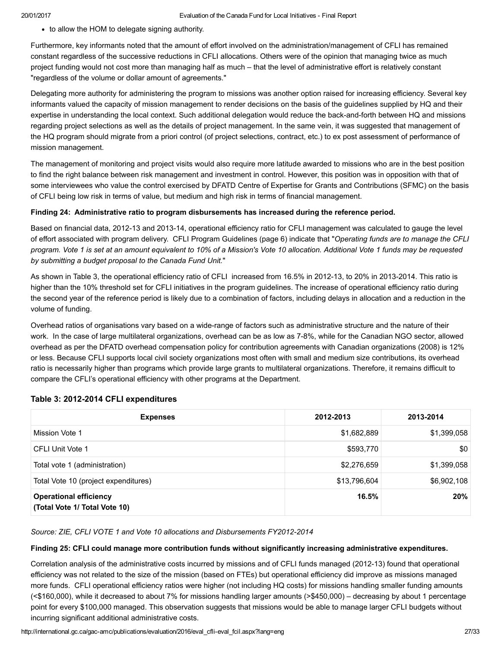• to allow the HOM to delegate signing authority.

Furthermore, key informants noted that the amount of effort involved on the administration/management of CFLI has remained constant regardless of the successive reductions in CFLI allocations. Others were of the opinion that managing twice as much project funding would not cost more than managing half as much – that the level of administrative effort is relatively constant "regardless of the volume or dollar amount of agreements."

Delegating more authority for administering the program to missions was another option raised for increasing efficiency. Several key informants valued the capacity of mission management to render decisions on the basis of the guidelines supplied by HQ and their expertise in understanding the local context. Such additional delegation would reduce the back-and-forth between HQ and missions regarding project selections as well as the details of project management. In the same vein, it was suggested that management of the HQ program should migrate from a priori control (of project selections, contract, etc.) to ex post assessment of performance of mission management.

The management of monitoring and project visits would also require more latitude awarded to missions who are in the best position to find the right balance between risk management and investment in control. However, this position was in opposition with that of some interviewees who value the control exercised by DFATD Centre of Expertise for Grants and Contributions (SFMC) on the basis of CFLI being low risk in terms of value, but medium and high risk in terms of financial management.

#### Finding 24: Administrative ratio to program disbursements has increased during the reference period.

Based on financial data, 2012-13 and 2013-14, operational efficiency ratio for CFLI management was calculated to gauge the level of effort associated with program delivery. CFLI Program Guidelines (page 6) indicate that "Operating funds are to manage the CFLI program. Vote 1 is set at an amount equivalent to 10% of a Mission's Vote 10 allocation. Additional Vote 1 funds may be requested by submitting a budget proposal to the Canada Fund Unit."

As shown in Table 3, the operational efficiency ratio of CFLI increased from 16.5% in 2012-13, to 20% in 2013-2014. This ratio is higher than the 10% threshold set for CFLI initiatives in the program guidelines. The increase of operational efficiency ratio during the second year of the reference period is likely due to a combination of factors, including delays in allocation and a reduction in the volume of funding.

Overhead ratios of organisations vary based on a widerange of factors such as administrative structure and the nature of their work. In the case of large multilateral organizations, overhead can be as low as 78%, while for the Canadian NGO sector, allowed overhead as per the DFATD overhead compensation policy for contribution agreements with Canadian organizations (2008) is 12% or less. Because CFLI supports local civil society organizations most often with small and medium size contributions, its overhead ratio is necessarily higher than programs which provide large grants to multilateral organizations. Therefore, it remains difficult to compare the CFLI's operational efficiency with other programs at the Department.

| <b>Expenses</b>                                                | 2012-2013    | 2013-2014   |
|----------------------------------------------------------------|--------------|-------------|
| Mission Vote 1                                                 | \$1,682,889  | \$1,399,058 |
| CFLI Unit Vote 1                                               | \$593,770    | \$0         |
| Total vote 1 (administration)                                  | \$2,276,659  | \$1,399,058 |
| Total Vote 10 (project expenditures)                           | \$13,796,604 | \$6,902,108 |
| <b>Operational efficiency</b><br>(Total Vote 1/ Total Vote 10) | 16.5%        | 20%         |

#### Table 3: 2012-2014 CFLI expenditures

Source: ZIE, CFLI VOTE 1 and Vote 10 allocations and Disbursements FY2012-2014

#### Finding 25: CFLI could manage more contribution funds without significantly increasing administrative expenditures.

Correlation analysis of the administrative costs incurred by missions and of CFLI funds managed (2012-13) found that operational efficiency was not related to the size of the mission (based on FTEs) but operational efficiency did improve as missions managed more funds. CFLI operational efficiency ratios were higher (not including HQ costs) for missions handling smaller funding amounts (<\$160,000), while it decreased to about 7% for missions handling larger amounts (>\$450,000) – decreasing by about 1 percentage point for every \$100,000 managed. This observation suggests that missions would be able to manage larger CFLI budgets without incurring significant additional administrative costs.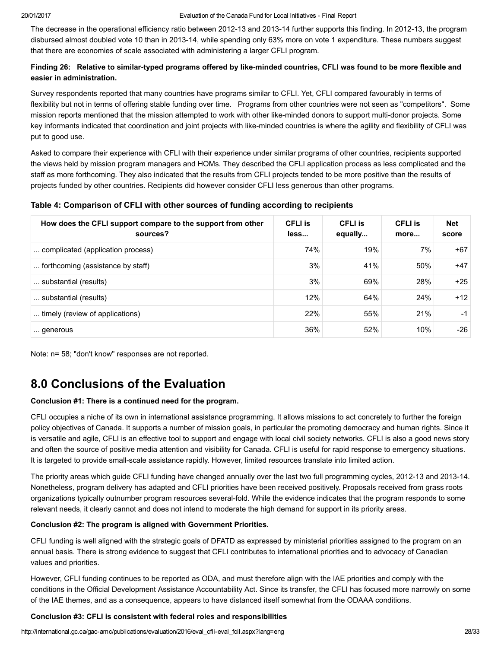The decrease in the operational efficiency ratio between 2012-13 and 2013-14 further supports this finding. In 2012-13, the program disbursed almost doubled vote 10 than in 2013-14, while spending only 63% more on vote 1 expenditure. These numbers suggest that there are economies of scale associated with administering a larger CFLI program.

#### Finding 26: Relative to similar-typed programs offered by like-minded countries, CFLI was found to be more flexible and easier in administration.

Survey respondents reported that many countries have programs similar to CFLI. Yet, CFLI compared favourably in terms of flexibility but not in terms of offering stable funding over time. Programs from other countries were not seen as "competitors". Some mission reports mentioned that the mission attempted to work with other like-minded donors to support multi-donor projects. Some key informants indicated that coordination and joint projects with like-minded countries is where the agility and flexibility of CFLI was put to good use.

Asked to compare their experience with CFLI with their experience under similar programs of other countries, recipients supported the views held by mission program managers and HOMs. They described the CFLI application process as less complicated and the staff as more forthcoming. They also indicated that the results from CFLI projects tended to be more positive than the results of projects funded by other countries. Recipients did however consider CFLI less generous than other programs.

#### Table 4: Comparison of CFLI with other sources of funding according to recipients

| How does the CFLI support compare to the support from other<br>sources? | <b>CFLI</b> is<br>less | <b>CFLI</b> is<br>equally | <b>CFLI</b> is<br>more | <b>Net</b><br>score |
|-------------------------------------------------------------------------|------------------------|---------------------------|------------------------|---------------------|
| complicated (application process)                                       | 74%                    | 19%                       | 7%                     | $+67$               |
| forthcoming (assistance by staff)                                       | 3%                     | 41%                       | 50%                    | $+47$               |
| substantial (results)                                                   | 3%                     | 69%                       | 28%                    | $+25$               |
| substantial (results)                                                   | 12%                    | 64%                       | 24%                    | $+12$               |
| timely (review of applications)                                         | 22%                    | 55%                       | 21%                    | -1                  |
| generous                                                                | 36%                    | 52%                       | 10%                    | -26                 |

Note: n= 58; "don't know" responses are not reported.

# <span id="page-27-0"></span>8.0 Conclusions of the Evaluation

#### Conclusion #1: There is a continued need for the program.

CFLI occupies a niche of its own in international assistance programming. It allows missions to act concretely to further the foreign policy objectives of Canada. It supports a number of mission goals, in particular the promoting democracy and human rights. Since it is versatile and agile, CFLI is an effective tool to support and engage with local civil society networks. CFLI is also a good news story and often the source of positive media attention and visibility for Canada. CFLI is useful for rapid response to emergency situations. It is targeted to provide small-scale assistance rapidly. However, limited resources translate into limited action.

The priority areas which guide CFLI funding have changed annually over the last two full programming cycles, 2012-13 and 2013-14. Nonetheless, program delivery has adapted and CFLI priorities have been received positively. Proposals received from grass roots organizations typically outnumber program resources several-fold. While the evidence indicates that the program responds to some relevant needs, it clearly cannot and does not intend to moderate the high demand for support in its priority areas.

#### Conclusion #2: The program is aligned with Government Priorities.

CFLI funding is well aligned with the strategic goals of DFATD as expressed by ministerial priorities assigned to the program on an annual basis. There is strong evidence to suggest that CFLI contributes to international priorities and to advocacy of Canadian values and priorities.

However, CFLI funding continues to be reported as ODA, and must therefore align with the IAE priorities and comply with the conditions in the Official Development Assistance Accountability Act. Since its transfer, the CFLI has focused more narrowly on some of the IAE themes, and as a consequence, appears to have distanced itself somewhat from the ODAAA conditions.

### Conclusion #3: CFLI is consistent with federal roles and responsibilities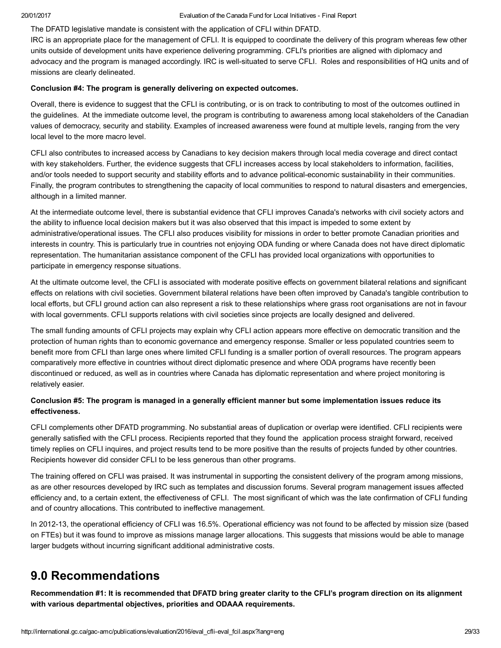The DFATD legislative mandate is consistent with the application of CFLI within DFATD.

IRC is an appropriate place for the management of CFLI. It is equipped to coordinate the delivery of this program whereas few other units outside of development units have experience delivering programming. CFLI's priorities are aligned with diplomacy and advocacy and the program is managed accordingly. IRC is well-situated to serve CFLI. Roles and responsibilities of HQ units and of missions are clearly delineated.

#### Conclusion #4: The program is generally delivering on expected outcomes.

Overall, there is evidence to suggest that the CFLI is contributing, or is on track to contributing to most of the outcomes outlined in the guidelines. At the immediate outcome level, the program is contributing to awareness among local stakeholders of the Canadian values of democracy, security and stability. Examples of increased awareness were found at multiple levels, ranging from the very local level to the more macro level.

CFLI also contributes to increased access by Canadians to key decision makers through local media coverage and direct contact with key stakeholders. Further, the evidence suggests that CFLI increases access by local stakeholders to information, facilities, and/or tools needed to support security and stability efforts and to advance political-economic sustainability in their communities. Finally, the program contributes to strengthening the capacity of local communities to respond to natural disasters and emergencies, although in a limited manner.

At the intermediate outcome level, there is substantial evidence that CFLI improves Canada's networks with civil society actors and the ability to influence local decision makers but it was also observed that this impact is impeded to some extent by administrative/operational issues. The CFLI also produces visibility for missions in order to better promote Canadian priorities and interests in country. This is particularly true in countries not enjoying ODA funding or where Canada does not have direct diplomatic representation. The humanitarian assistance component of the CFLI has provided local organizations with opportunities to participate in emergency response situations.

At the ultimate outcome level, the CFLI is associated with moderate positive effects on government bilateral relations and significant effects on relations with civil societies. Government bilateral relations have been often improved by Canada's tangible contribution to local efforts, but CFLI ground action can also represent a risk to these relationships where grass root organisations are not in favour with local governments. CFLI supports relations with civil societies since projects are locally designed and delivered.

The small funding amounts of CFLI projects may explain why CFLI action appears more effective on democratic transition and the protection of human rights than to economic governance and emergency response. Smaller or less populated countries seem to benefit more from CFLI than large ones where limited CFLI funding is a smaller portion of overall resources. The program appears comparatively more effective in countries without direct diplomatic presence and where ODA programs have recently been discontinued or reduced, as well as in countries where Canada has diplomatic representation and where project monitoring is relatively easier.

### Conclusion #5: The program is managed in a generally efficient manner but some implementation issues reduce its effectiveness.

CFLI complements other DFATD programming. No substantial areas of duplication or overlap were identified. CFLI recipients were generally satisfied with the CFLI process. Recipients reported that they found the application process straight forward, received timely replies on CFLI inquires, and project results tend to be more positive than the results of projects funded by other countries. Recipients however did consider CFLI to be less generous than other programs.

The training offered on CFLI was praised. It was instrumental in supporting the consistent delivery of the program among missions, as are other resources developed by IRC such as templates and discussion forums. Several program management issues affected efficiency and, to a certain extent, the effectiveness of CFLI. The most significant of which was the late confirmation of CFLI funding and of country allocations. This contributed to ineffective management.

In 2012-13, the operational efficiency of CFLI was 16.5%. Operational efficiency was not found to be affected by mission size (based on FTEs) but it was found to improve as missions manage larger allocations. This suggests that missions would be able to manage larger budgets without incurring significant additional administrative costs.

# <span id="page-28-0"></span>9.0 Recommendations

Recommendation #1: It is recommended that DFATD bring greater clarity to the CFLI's program direction on its alignment with various departmental objectives, priorities and ODAAA requirements.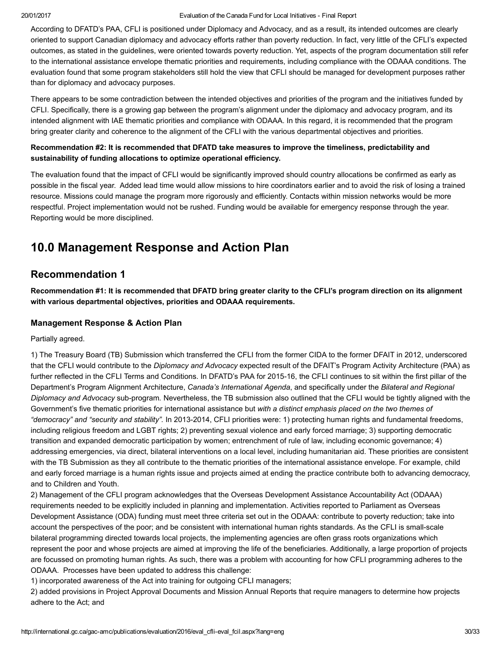According to DFATD's PAA, CFLI is positioned under Diplomacy and Advocacy, and as a result, its intended outcomes are clearly oriented to support Canadian diplomacy and advocacy efforts rather than poverty reduction. In fact, very little of the CFLI's expected outcomes, as stated in the guidelines, were oriented towards poverty reduction. Yet, aspects of the program documentation still refer to the international assistance envelope thematic priorities and requirements, including compliance with the ODAAA conditions. The evaluation found that some program stakeholders still hold the view that CFLI should be managed for development purposes rather than for diplomacy and advocacy purposes.

There appears to be some contradiction between the intended objectives and priorities of the program and the initiatives funded by CFLI. Specifically, there is a growing gap between the program's alignment under the diplomacy and advocacy program, and its intended alignment with IAE thematic priorities and compliance with ODAAA. In this regard, it is recommended that the program bring greater clarity and coherence to the alignment of the CFLI with the various departmental objectives and priorities.

#### Recommendation #2: It is recommended that DFATD take measures to improve the timeliness, predictability and sustainability of funding allocations to optimize operational efficiency.

The evaluation found that the impact of CFLI would be significantly improved should country allocations be confirmed as early as possible in the fiscal year. Added lead time would allow missions to hire coordinators earlier and to avoid the risk of losing a trained resource. Missions could manage the program more rigorously and efficiently. Contacts within mission networks would be more respectful. Project implementation would not be rushed. Funding would be available for emergency response through the year. Reporting would be more disciplined.

# <span id="page-29-0"></span>10.0 Management Response and Action Plan

# Recommendation 1

Recommendation #1: It is recommended that DFATD bring greater clarity to the CFLI's program direction on its alignment with various departmental objectives, priorities and ODAAA requirements.

### Management Response & Action Plan

Partially agreed.

1) The Treasury Board (TB) Submission which transferred the CFLI from the former CIDA to the former DFAIT in 2012, underscored that the CFLI would contribute to the Diplomacy and Advocacy expected result of the DFAIT's Program Activity Architecture (PAA) as further reflected in the CFLI Terms and Conditions. In DFATD's PAA for 2015-16, the CFLI continues to sit within the first pillar of the Department's Program Alignment Architecture, Canada's International Agenda, and specifically under the Bilateral and Regional Diplomacy and Advocacy sub-program. Nevertheless, the TB submission also outlined that the CFLI would be tightly aligned with the Government's five thematic priorities for international assistance but with a distinct emphasis placed on the two themes of "democracy" and "security and stability". In 2013-2014, CFLI priorities were: 1) protecting human rights and fundamental freedoms, including religious freedom and LGBT rights; 2) preventing sexual violence and early forced marriage; 3) supporting democratic transition and expanded democratic participation by women; entrenchment of rule of law, including economic governance; 4) addressing emergencies, via direct, bilateral interventions on a local level, including humanitarian aid. These priorities are consistent with the TB Submission as they all contribute to the thematic priorities of the international assistance envelope. For example, child and early forced marriage is a human rights issue and projects aimed at ending the practice contribute both to advancing democracy, and to Children and Youth.

2) Management of the CFLI program acknowledges that the Overseas Development Assistance Accountability Act (ODAAA) requirements needed to be explicitly included in planning and implementation. Activities reported to Parliament as Overseas Development Assistance (ODA) funding must meet three criteria set out in the ODAAA: contribute to poverty reduction; take into account the perspectives of the poor; and be consistent with international human rights standards. As the CFLI is small-scale bilateral programming directed towards local projects, the implementing agencies are often grass roots organizations which represent the poor and whose projects are aimed at improving the life of the beneficiaries. Additionally, a large proportion of projects are focussed on promoting human rights. As such, there was a problem with accounting for how CFLI programming adheres to the ODAAA. Processes have been updated to address this challenge:

1) incorporated awareness of the Act into training for outgoing CFLI managers;

2) added provisions in Project Approval Documents and Mission Annual Reports that require managers to determine how projects adhere to the Act; and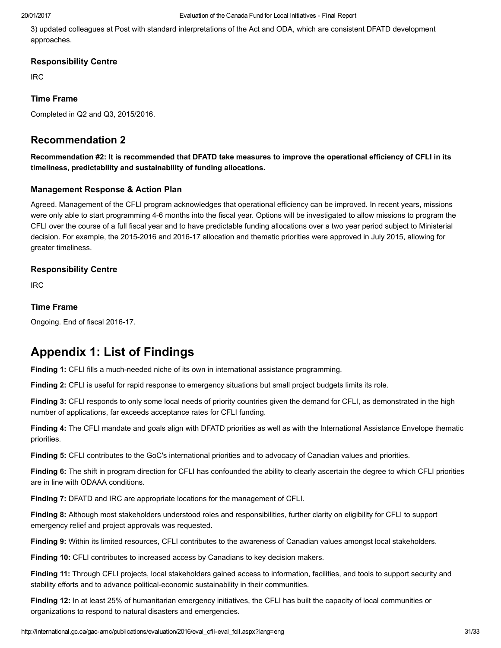3) updated colleagues at Post with standard interpretations of the Act and ODA, which are consistent DFATD development approaches.

### Responsibility Centre

IRC

### Time Frame

Completed in Q2 and Q3, 2015/2016.

## Recommendation 2

Recommendation #2: It is recommended that DFATD take measures to improve the operational efficiency of CFLI in its timeliness, predictability and sustainability of funding allocations.

### Management Response & Action Plan

Agreed. Management of the CFLI program acknowledges that operational efficiency can be improved. In recent years, missions were only able to start programming 46 months into the fiscal year. Options will be investigated to allow missions to program the CFLI over the course of a full fiscal year and to have predictable funding allocations over a two year period subject to Ministerial decision. For example, the 2015-2016 and 2016-17 allocation and thematic priorities were approved in July 2015, allowing for greater timeliness.

### Responsibility Centre

IRC

### Time Frame

Ongoing. End of fiscal 2016-17.

# <span id="page-30-0"></span>Appendix 1: List of Findings

Finding 1: CFLI fills a much-needed niche of its own in international assistance programming.

Finding 2: CFLI is useful for rapid response to emergency situations but small project budgets limits its role.

Finding 3: CFLI responds to only some local needs of priority countries given the demand for CFLI, as demonstrated in the high number of applications, far exceeds acceptance rates for CFLI funding.

Finding 4: The CFLI mandate and goals align with DFATD priorities as well as with the International Assistance Envelope thematic priorities.

Finding 5: CFLI contributes to the GoC's international priorities and to advocacy of Canadian values and priorities.

Finding 6: The shift in program direction for CFLI has confounded the ability to clearly ascertain the degree to which CFLI priorities are in line with ODAAA conditions.

Finding 7: DFATD and IRC are appropriate locations for the management of CFLI.

Finding 8: Although most stakeholders understood roles and responsibilities, further clarity on eligibility for CFLI to support emergency relief and project approvals was requested.

Finding 9: Within its limited resources, CFLI contributes to the awareness of Canadian values amongst local stakeholders.

Finding 10: CFLI contributes to increased access by Canadians to key decision makers.

Finding 11: Through CFLI projects, local stakeholders gained access to information, facilities, and tools to support security and stability efforts and to advance political-economic sustainability in their communities.

Finding 12: In at least 25% of humanitarian emergency initiatives, the CFLI has built the capacity of local communities or organizations to respond to natural disasters and emergencies.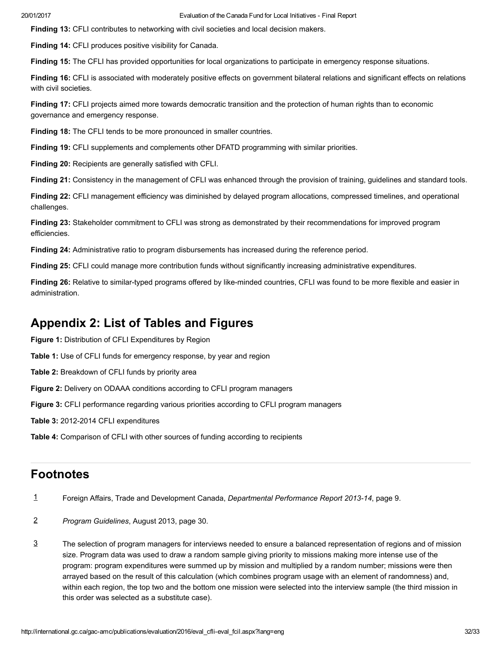Finding 13: CFLI contributes to networking with civil societies and local decision makers.

Finding 14: CFLI produces positive visibility for Canada.

Finding 15: The CFLI has provided opportunities for local organizations to participate in emergency response situations.

Finding 16: CFLI is associated with moderately positive effects on government bilateral relations and significant effects on relations with civil societies.

Finding 17: CFLI projects aimed more towards democratic transition and the protection of human rights than to economic governance and emergency response.

Finding 18: The CFLI tends to be more pronounced in smaller countries.

Finding 19: CFLI supplements and complements other DFATD programming with similar priorities.

Finding 20: Recipients are generally satisfied with CFLI.

Finding 21: Consistency in the management of CFLI was enhanced through the provision of training, guidelines and standard tools.

Finding 22: CFLI management efficiency was diminished by delayed program allocations, compressed timelines, and operational challenges.

Finding 23: Stakeholder commitment to CFLI was strong as demonstrated by their recommendations for improved program efficiencies.

Finding 24: Administrative ratio to program disbursements has increased during the reference period.

Finding 25: CFLI could manage more contribution funds without significantly increasing administrative expenditures.

Finding 26: Relative to similar-typed programs offered by like-minded countries, CFLI was found to be more flexible and easier in administration.

# <span id="page-31-0"></span>Appendix 2: List of Tables and Figures

Figure 1: Distribution of CFLI Expenditures by Region

Table 1: Use of CFLI funds for emergency response, by year and region

Table 2: Breakdown of CFLI funds by priority area

Figure 2: Delivery on ODAAA conditions according to CFLI program managers

Figure 3: CFLI performance regarding various priorities according to CFLI program managers

Table 3: 2012-2014 CFLI expenditures

Table 4: Comparison of CFLI with other sources of funding according to recipients

# **Footnotes**

- <span id="page-31-1"></span>[1](#page-4-2) Foreign Affairs, Trade and Development Canada, Departmental Performance Report 2013-14, page 9.
- <span id="page-31-2"></span>[2](#page-7-2) Program Guidelines, August 2013, page 30.
- <span id="page-31-3"></span>The selection of program managers for interviews needed to ensure a balanced representation of regions and of mission size. Program data was used to draw a random sample giving priority to missions making more intense use of the program: program expenditures were summed up by mission and multiplied by a random number; missions were then arrayed based on the result of this calculation (which combines program usage with an element of randomness) and, within each region, the top two and the bottom one mission were selected into the interview sample (the third mission in this order was selected as a substitute case). [3](#page-10-1)